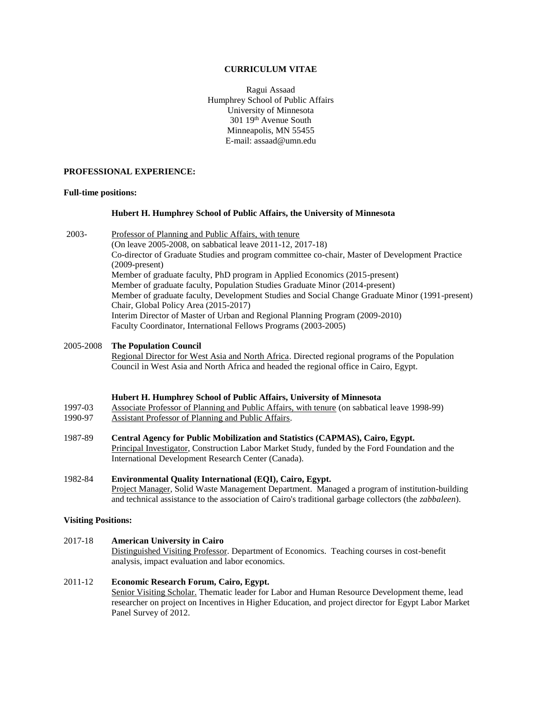#### **CURRICULUM VITAE**

Ragui Assaad Humphrey School of Public Affairs University of Minnesota 301 19th Avenue South Minneapolis, MN 55455 E-mail: assaad@umn.edu

### **PROFESSIONAL EXPERIENCE:**

#### **Full-time positions:**

## **Hubert H. Humphrey School of Public Affairs, the University of Minnesota**

2003- Professor of Planning and Public Affairs, with tenure (On leave 2005-2008, on sabbatical leave 2011-12, 2017-18) Co-director of Graduate Studies and program committee co-chair, Master of Development Practice (2009-present) Member of graduate faculty, PhD program in Applied Economics (2015-present) Member of graduate faculty, Population Studies Graduate Minor (2014-present) Member of graduate faculty, Development Studies and Social Change Graduate Minor (1991-present) Chair, Global Policy Area (2015-2017) Interim Director of Master of Urban and Regional Planning Program (2009-2010) Faculty Coordinator, International Fellows Programs (2003-2005)

## 2005-2008 **The Population Council**

Regional Director for West Asia and North Africa. Directed regional programs of the Population Council in West Asia and North Africa and headed the regional office in Cairo, Egypt.

#### **Hubert H. Humphrey School of Public Affairs, University of Minnesota**

1997-03 Associate Professor of Planning and Public Affairs, with tenure (on sabbatical leave 1998-99)

- 1990-97 Assistant Professor of Planning and Public Affairs.
- 1987-89 **Central Agency for Public Mobilization and Statistics (CAPMAS), Cairo, Egypt.** Principal Investigator, Construction Labor Market Study, funded by the Ford Foundation and the International Development Research Center (Canada).
- 1982-84 **Environmental Quality International (EQI), Cairo, Egypt.** Project Manager, Solid Waste Management Department. Managed a program of institution-building and technical assistance to the association of Cairo's traditional garbage collectors (the *zabbaleen*).

## **Visiting Positions:**

# 2017-18 **American University in Cairo**

Distinguished Visiting Professor. Department of Economics. Teaching courses in cost-benefit analysis, impact evaluation and labor economics.

#### 2011-12 **Economic Research Forum, Cairo, Egypt.**

Senior Visiting Scholar. Thematic leader for Labor and Human Resource Development theme, lead researcher on project on Incentives in Higher Education, and project director for Egypt Labor Market Panel Survey of 2012.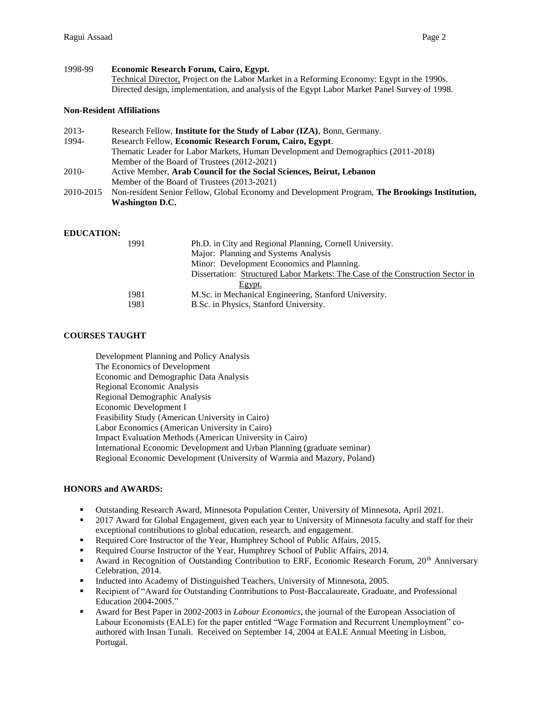# 1998-99 **Economic Research Forum, Cairo, Egypt.** Technical Director, Project on the Labor Market in a Reforming Economy: Egypt in the 1990s. Directed design, implementation, and analysis of the Egypt Labor Market Panel Survey of 1998.

## **Non-Resident Affiliations**

| Research Fellow, Institute for the Study of Labor (IZA), Bonn, Germany.                        |
|------------------------------------------------------------------------------------------------|
| Research Fellow, Economic Research Forum, Cairo, Egypt.                                        |
| Thematic Leader for Labor Markets, Human Development and Demographics (2011-2018)              |
| Member of the Board of Trustees (2012-2021)                                                    |
| Active Member, Arab Council for the Social Sciences, Beirut, Lebanon                           |
| Member of the Board of Trustees (2013-2021)                                                    |
| Non-resident Senior Fellow, Global Economy and Development Program, The Brookings Institution, |
| <b>Washington D.C.</b>                                                                         |
|                                                                                                |

## **EDUCATION:**

| 1991<br>Ph.D. in City and Regional Planning, Cornell University.               |  |
|--------------------------------------------------------------------------------|--|
| Major: Planning and Systems Analysis                                           |  |
| Minor: Development Economics and Planning.                                     |  |
| Dissertation: Structured Labor Markets: The Case of the Construction Sector in |  |
| Egypt.                                                                         |  |
| M.Sc. in Mechanical Engineering, Stanford University.<br>1981                  |  |
| 1981<br>B.Sc. in Physics, Stanford University.                                 |  |

# **COURSES TAUGHT**

Development Planning and Policy Analysis The Economics of Development Economic and Demographic Data Analysis Regional Economic Analysis Regional Demographic Analysis Economic Development I Feasibility Study (American University in Cairo) Labor Economics (American University in Cairo) Impact Evaluation Methods (American University in Cairo) International Economic Development and Urban Planning (graduate seminar) Regional Economic Development (University of Warmia and Mazury, Poland)

# **HONORS and AWARDS:**

- Outstanding Research Award, Minnesota Population Center, University of Minnesota, April 2021.
- **•** 2017 Award for Global Engagement, given each year to University of Minnesota faculty and staff for their exceptional contributions to global education, research, and engagement.
- Required Core Instructor of the Year, Humphrey School of Public Affairs, 2015.
- Required Course Instructor of the Year, Humphrey School of Public Affairs, 2014.
- Award in Recognition of Outstanding Contribution to ERF, Economic Research Forum, 20<sup>th</sup> Anniversary Celebration, 2014.
- **•** Inducted into Academy of Distinguished Teachers, University of Minnesota, 2005.
- **•** Recipient of "Award for Outstanding Contributions to Post-Baccalaureate, Graduate, and Professional Education 2004-2005."
- Award for Best Paper in 2002-2003 in *Labour Economics,* the journal of the European Association of Labour Economists (EALE) for the paper entitled "Wage Formation and Recurrent Unemployment" coauthored with Insan Tunali. Received on September 14, 2004 at EALE Annual Meeting in Lisbon, Portugal.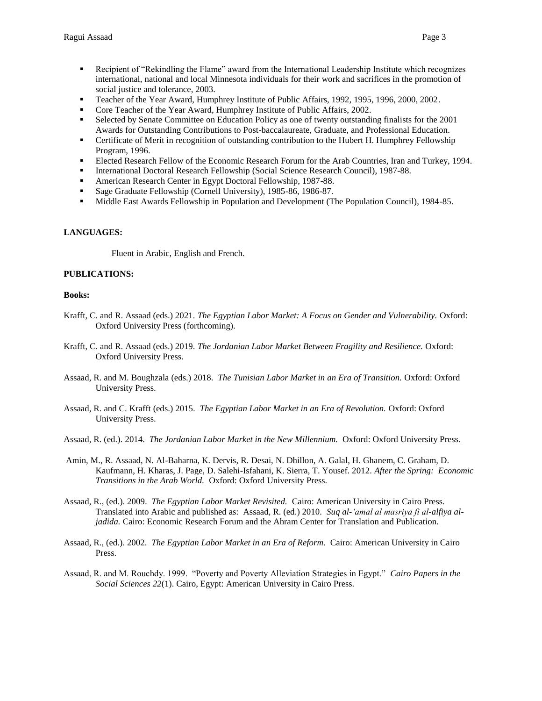- 
- Recipient of "Rekindling the Flame" award from the International Leadership Institute which recognizes international, national and local Minnesota individuals for their work and sacrifices in the promotion of social justice and tolerance, 2003.
- Teacher of the Year Award, Humphrey Institute of Public Affairs, 1992, 1995, 1996, 2000, 2002.
- Core Teacher of the Year Award, Humphrey Institute of Public Affairs, 2002.
- **•** Selected by Senate Committee on Education Policy as one of twenty outstanding finalists for the 2001 Awards for Outstanding Contributions to Post-baccalaureate, Graduate, and Professional Education.
- **•** Certificate of Merit in recognition of outstanding contribution to the Hubert H. Humphrey Fellowship Program, 1996.
- **Elected Research Fellow of the Economic Research Forum for the Arab Countries, Iran and Turkey, 1994.**
- International Doctoral Research Fellowship (Social Science Research Council), 1987-88.
- American Research Center in Egypt Doctoral Fellowship, 1987-88.
- Sage Graduate Fellowship (Cornell University), 1985-86, 1986-87.
- Middle East Awards Fellowship in Population and Development (The Population Council), 1984-85.

# **LANGUAGES:**

Fluent in Arabic, English and French.

# **PUBLICATIONS:**

## **Books:**

- Krafft, C. and R. Assaad (eds.) 2021. *The Egyptian Labor Market: A Focus on Gender and Vulnerability.* Oxford: Oxford University Press (forthcoming).
- Krafft, C. and R. Assaad (eds.) 2019. *The Jordanian Labor Market Between Fragility and Resilience.* Oxford: Oxford University Press.
- Assaad, R. and M. Boughzala (eds.) 2018. *The Tunisian Labor Market in an Era of Transition.* Oxford: Oxford University Press.
- Assaad, R. and C. Krafft (eds.) 2015. *The Egyptian Labor Market in an Era of Revolution.* Oxford: Oxford University Press.
- Assaad, R. (ed.). 2014. *The Jordanian Labor Market in the New Millennium.* Oxford: Oxford University Press.
- Amin, M., R. Assaad, N. Al-Baharna, K. Dervis, R. Desai, N. Dhillon, A. Galal, H. Ghanem, C. Graham, D. Kaufmann, H. Kharas, J. Page, D. Salehi-Isfahani, K. Sierra, T. Yousef. 2012. *After the Spring: Economic Transitions in the Arab World.* Oxford: Oxford University Press.
- Assaad, R., (ed.). 2009. *The Egyptian Labor Market Revisited.* Cairo: American University in Cairo Press. Translated into Arabic and published as: Assaad, R. (ed.) 2010. *Suq al-'amal al masriya fi al-alfiya aljadida*. Cairo: Economic Research Forum and the Ahram Center for Translation and Publication.
- Assaad, R., (ed.). 2002. *The Egyptian Labor Market in an Era of Reform*. Cairo: American University in Cairo Press.
- Assaad, R. and M. Rouchdy. 1999. "Poverty and Poverty Alleviation Strategies in Egypt." *Cairo Papers in the Social Sciences 22*(1). Cairo, Egypt: American University in Cairo Press.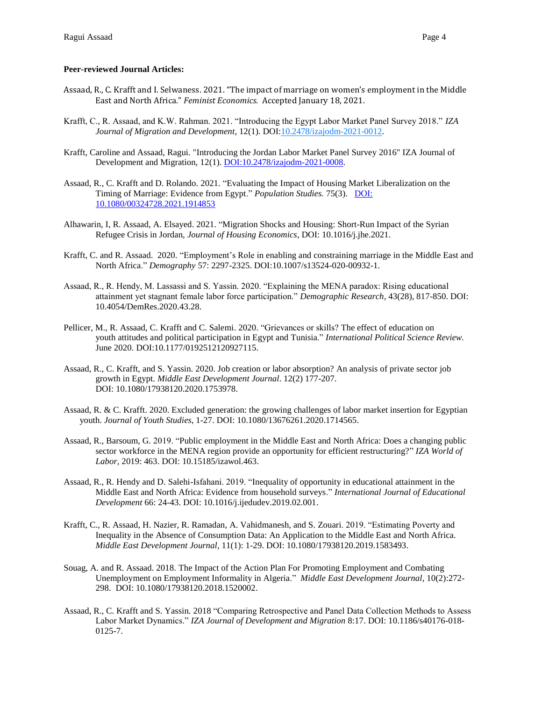## **Peer-reviewed Journal Articles:**

- Assaad, R., C. Krafft and I. Selwaness. 2021. "The impact of marriage on women's employment in the Middle East and North Africa." *Feminist Economics.* Accepted January 18, 2021.
- Krafft, C., R. Assaad, and K.W. Rahman. 2021. "Introducing the Egypt Labor Market Panel Survey 2018." *IZA Journal of Migration and Development,* 12(1)*.* [DOI:10.2478/izajodm-2021-0012.](https://doi.org/10.2478/izajodm-2021-0012)
- Krafft, Caroline and Assaad, Ragui. "Introducing the Jordan Labor Market Panel Survey 2016" IZA Journal of Development and Migration, 12(1). [DOI:10.2478/izajodm-2021-0008.](https://doi.org/10.2478/izajodm-2021-0008)
- Assaad, R., C. Krafft and D. Rolando. 2021. "Evaluating the Impact of Housing Market Liberalization on the Timing of Marriage: Evidence from Egypt." *Population Studies.* 75(3). [DOI:](https://doi.org/10.1080/00324728.2021.1914853)  [10.1080/00324728.2021.1914853](https://doi.org/10.1080/00324728.2021.1914853)
- Alhawarin, I, R. Assaad, A. Elsayed. 2021. "Migration Shocks and Housing: Short-Run Impact of the Syrian Refugee Crisis in Jordan, *Journal of Housing Economics*, DOI: 10.1016/j.jhe.2021.
- Krafft, C. and R. Assaad. 2020. "Employment's Role in enabling and constraining marriage in the Middle East and North Africa." *Demography* 57: 2297-2325. [DOI:10.1007/s13524-020-00932-1.](https://doi.org/10.1007/s13524-020-00932-1)
- Assaad, R., R. Hendy, M. Lassassi and S. Yassin. 2020. "Explaining the MENA paradox: Rising educational attainment yet stagnant female labor force participation." *Demographic Research,* 43(28), 817-850. DOI: 10.4054/DemRes.2020.43.28.
- Pellicer, M., R. Assaad, C. Krafft and C. Salemi. 2020. "Grievances or skills? The effect of education on youth attitudes and political participation in Egypt and Tunisia." *International Political Science Review.*  June 2020. DOI[:10.1177/0192512120927115.](https://doi.org/10.1177/0192512120927115)
- Assaad, R., C. Krafft, and S. Yassin. 2020. Job creation or labor absorption? An analysis of private sector job growth in Egypt. *Middle East Development Journal*. 12(2) 177-207. DOI: [10.1080/17938120.2020.1753978.](https://doi.org/10.1080/17938120.2020.1753978)
- Assaad, R. & C. Krafft. 2020. Excluded generation: the growing challenges of labor market insertion for Egyptian youth. *Journal of Youth Studies*, 1-27[. DOI: 10.1080/13676261.2020.1714565.](http://dx.doi.org/10.1080/13676261.2020.1714565)
- Assaad, R., Barsoum, G. 2019. "Public employment in the Middle East and North Africa: Does a changing public sector workforce in the MENA region provide an opportunity for efficient restructuring?" *IZA World of Labor,* 2019: 463. DOI: 10.15185/izawol.463.
- Assaad, R., R. Hendy and D. Salehi-Isfahani. 2019. ["Inequality of opportunity in educational attainment in the](javascript:void(0)) [Middle East and North Africa: Evidence from household surveys."](javascript:void(0)) *International Journal of Educational Development* 66: 24-43. [DOI: 10.1016/j.ijedudev.2019.02.001.](https://doi.org/10.1016/j.ijedudev.2019.02.001)
- Krafft, C., R. Assaad, H. Nazier, R. Ramadan, A. Vahidmanesh, and S. Zouari. 2019. "Estimating Poverty and Inequality in the Absence of Consumption Data: An Application to the Middle East and North Africa. *Middle East Development Journal,* 11(1): 1-29. [DOI: 10.1080/17938120.2019.1583493.](https://doi.org/10.1080/17938120.2019.1583493)
- Souag, A. and R. Assaad. 2018[. The Impact of the Action Plan For Promoting Employment and Combating](http://erf.org.eg/publications/the-impact-of-the-action-plan-for-promoting-employment-and-combating-unemployment-on-employment-informality-in-algeria/)  [Unemployment on Employment Informality in Algeria.](http://erf.org.eg/publications/the-impact-of-the-action-plan-for-promoting-employment-and-combating-unemployment-on-employment-informality-in-algeria/)" *Middle East Development Journal*, 10(2):272- 298. [DOI: 10.1080/17938120.2018.1520002.](https://doi.org/10.1080/17938120.2018.1520002)
- Assaad, R., C. Krafft and S. Yassin. 2018 "Comparing Retrospective and Panel Data Collection Methods to Assess Labor Market Dynamics." *IZA Journal of Development and Migration* 8:17. DOI: 10.1186/s40176-018- 0125-7.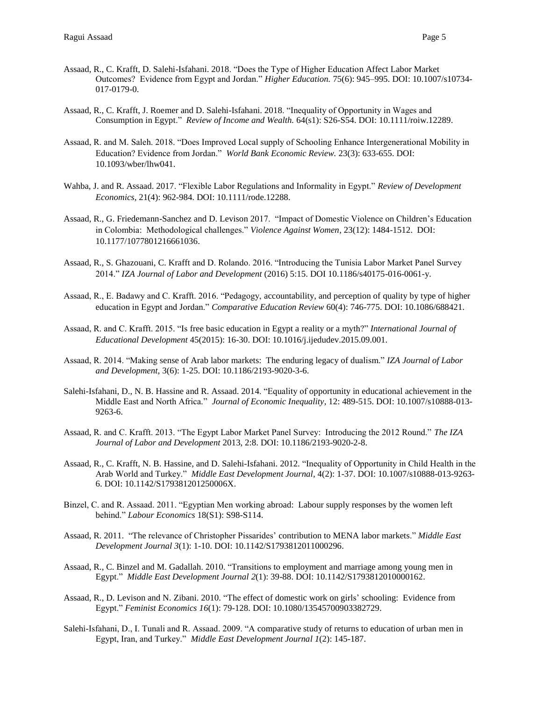- Assaad, R., C. Krafft, D. Salehi-Isfahani. 2018. "Does the Type of Higher Education Affect Labor Market Outcomes? Evidence from Egypt and Jordan." *Higher Education.* 75(6): 945–995. DOI: 10.1007/s10734- 017-0179-0.
- Assaad, R., C. Krafft, J. Roemer and D. Salehi-Isfahani. 2018. "Inequality of Opportunity in Wages and Consumption in Egypt." *Review of Income and Wealth.* 64(s1): S26-S54. DOI: 10.1111/roiw.12289.
- Assaad, R. and M. Saleh. 2018. "Does Improved Local supply of Schooling Enhance Intergenerational Mobility in Education? Evidence from Jordan." *World Bank Economic Review.* 23(3): 633-655. DOI: 10.1093/wber/lhw041.
- Wahba, J. and R. Assaad. 2017. "Flexible Labor Regulations and Informality in Egypt." *Review of Development Economics,* 21(4): 962-984. DOI: 10.1111/rode.12288.
- Assaad, R., G. Friedemann-Sanchez and D. Levison 2017. "Impact of Domestic Violence on Children's Education in Colombia: Methodological challenges." *Violence Against Women,* 23(12): 1484-1512. DOI: 10.1177/1077801216661036.
- Assaad, R., S. Ghazouani, C. Krafft and D. Rolando. 2016. "Introducing the Tunisia Labor Market Panel Survey 2014." *IZA Journal of Labor and Development* (2016) 5:15. DOI 10.1186/s40175-016-0061-y.
- Assaad, R., E. Badawy and C. Krafft. 2016. "Pedagogy, accountability, and perception of quality by type of higher education in Egypt and Jordan." *Comparative Education Review* 60(4): 746-775. DOI: 10.1086/688421.
- Assaad, R. and C. Krafft. 2015. "Is free basic education in Egypt a reality or a myth?" *International Journal of Educational Development* 45(2015): 16-30. DOI: 10.1016/j.ijedudev.2015.09.001.
- Assaad, R. 2014. "Making sense of Arab labor markets: The enduring legacy of dualism." *IZA Journal of Labor and Development,* 3(6): 1-25. DOI[: 10.1186/2193-9020-3-6.](https://doi.org/10.1186/2193-9020-3-6)
- Salehi-Isfahani, D., N. B. Hassine and R. Assaad. 2014. "Equality of opportunity in educational achievement in the Middle East and North Africa." *Journal of Economic Inequality,* 12: 489-515. DOI: 10.1007/s10888-013- 9263-6.
- Assaad, R. and C. Krafft. 2013. "The Egypt Labor Market Panel Survey: Introducing the 2012 Round." *The IZA Journal of Labor and Development* 2013, 2:8. DOI[: 10.1186/2193-9020-2-8.](https://doi.org/10.1186/2193-9020-2-8)
- Assaad, R., C. Krafft, N. B. Hassine, and D. Salehi-Isfahani. 2012. "Inequality of Opportunity in Child Health in the Arab World and Turkey." *Middle East Development Journal,* 4(2): 1-37. [DOI: 10.1007/s10888-013-9263-](https://doi.org/10.1007/s10888-013-9263-6) [6.](https://doi.org/10.1007/s10888-013-9263-6) [DOI: 10.1142/S179381201250006X.](https://doi.org/10.1142/S179381201250006X)
- Binzel, C. and R. Assaad. 2011. "Egyptian Men working abroad: Labour supply responses by the women left behind." *Labour Economics* 18(S1): S98-S114.
- Assaad, R. 2011. "The relevance of Christopher Pissarides' contribution to MENA labor markets." *Middle East Development Journal 3*(1): 1-10. [DOI: 10.1142/S1793812011000296.](https://doi.org/10.1142/S1793812011000296)
- Assaad, R., C. Binzel and M. Gadallah. 2010. "Transitions to employment and marriage among young men in Egypt." *Middle East Development Journal 2*(1): 39-88. [DOI: 10.1142/S1793812010000162.](https://doi.org/10.1142/S1793812010000162)
- Assaad, R., D. Levison and N. Zibani. 2010. "The effect of domestic work on girls' schooling: Evidence from Egypt." *Feminist Economics 16*(1): 79-128. DOI[: 10.1080/13545700903382729.](https://doi.org/10.1080/13545700903382729)
- Salehi-Isfahani, D., I. Tunali and R. Assaad. 2009. "A comparative study of returns to education of urban men in Egypt, Iran, and Turkey." *Middle East Development Journal 1*(2): 145-187.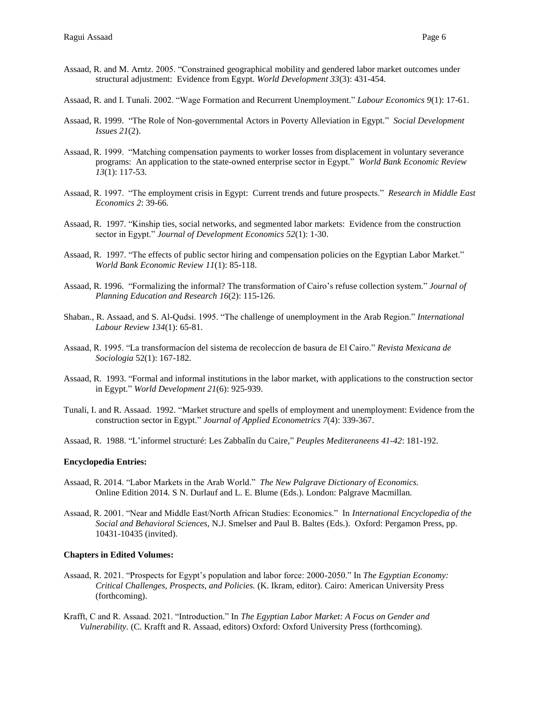- Assaad, R. and M. Arntz. 2005. "Constrained geographical mobility and gendered labor market outcomes under structural adjustment: Evidence from Egypt. *World Development 33*(3): 431-454.
- Assaad, R. and I. Tunali. 2002. "Wage Formation and Recurrent Unemployment." *Labour Economics 9*(1): 17-61.
- Assaad, R. 1999. "The Role of Non-governmental Actors in Poverty Alleviation in Egypt." *Social Development Issues 21*(2).
- Assaad, R. 1999. "Matching compensation payments to worker losses from displacement in voluntary severance programs: An application to the state-owned enterprise sector in Egypt." *World Bank Economic Review 13*(1): 117-53.
- Assaad, R. 1997. "The employment crisis in Egypt: Current trends and future prospects." *Research in Middle East Economics 2*: 39-66.
- Assaad, R. 1997. "Kinship ties, social networks, and segmented labor markets: Evidence from the construction sector in Egypt." *Journal of Development Economics 52*(1): 1-30.
- Assaad, R. 1997. "The effects of public sector hiring and compensation policies on the Egyptian Labor Market." *World Bank Economic Review 11*(1): 85-118.
- Assaad, R. 1996. "Formalizing the informal? The transformation of Cairo's refuse collection system." *Journal of Planning Education and Research 16*(2): 115-126.
- Shaban., R. Assaad, and S. Al-Qudsi. 1995. "The challenge of unemployment in the Arab Region." *International Labour Review 134*(1): 65-81.
- Assaad, R. 1995. "La transformacíon del sistema de recoleccíon de basura de El Cairo." *Revista Mexicana de Sociologia* 52(1): 167-182.
- Assaad, R. 1993. "Formal and informal institutions in the labor market, with applications to the construction sector in Egypt." *World Development 21*(6): 925-939.
- Tunali, I. and R. Assaad. 1992. "Market structure and spells of employment and unemployment: Evidence from the construction sector in Egypt." *Journal of Applied Econometrics 7*(4): 339-367.
- Assaad, R. 1988. "L'informel structuré: Les Zabbalîn du Caire," *Peuples Mediteraneens 41-42*: 181-192.

#### **Encyclopedia Entries:**

- Assaad, R. 2014. "Labor Markets in the Arab World." *The New Palgrave Dictionary of Economics.*  Online Edition 2014*.* S N. Durlauf and L. E. Blume (Eds.). London: Palgrave Macmillan*.*
- Assaad, R. 2001. "Near and Middle East/North African Studies: Economics." In *International Encyclopedia of the Social and Behavioral Sciences,* N.J. Smelser and Paul B. Baltes (Eds.). Oxford: Pergamon Press, pp. 10431-10435 (invited).

#### **Chapters in Edited Volumes:**

- Assaad, R. 2021. "Prospects for Egypt's population and labor force: 2000-2050." In *The Egyptian Economy: Critical Challenges, Prospects, and Policies.* (K. Ikram, editor). Cairo: American University Press (forthcoming).
- Krafft, C and R. Assaad. 2021. "Introduction." In *The Egyptian Labor Market: A Focus on Gender and Vulnerability.* (C. Krafft and R. Assaad, editors) Oxford: Oxford University Press (forthcoming).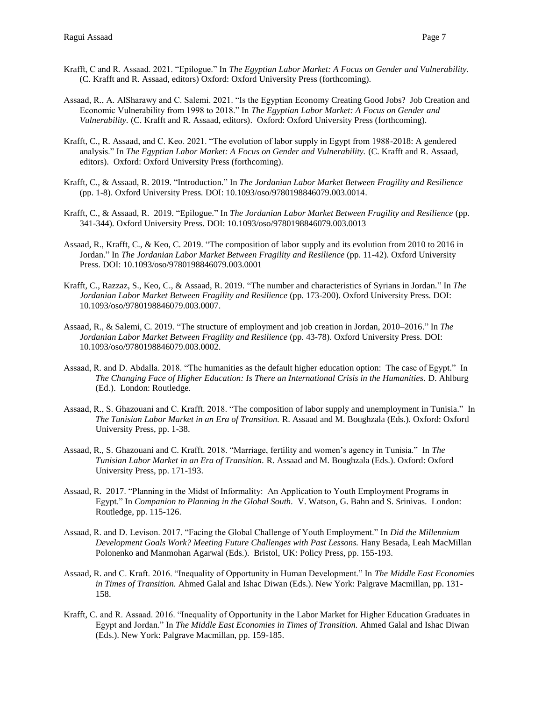- Krafft, C and R. Assaad. 2021. "Epilogue." In *The Egyptian Labor Market: A Focus on Gender and Vulnerability.*  (C. Krafft and R. Assaad, editors) Oxford: Oxford University Press (forthcoming).
- Assaad, R., A. AlSharawy and C. Salemi. 2021. "Is the Egyptian Economy Creating Good Jobs? Job Creation and Economic Vulnerability from 1998 to 2018." In *The Egyptian Labor Market: A Focus on Gender and Vulnerability.* (C. Krafft and R. Assaad, editors). Oxford: Oxford University Press (forthcoming).
- Krafft, C., R. Assaad, and C. Keo. 2021. "The evolution of labor supply in Egypt from 1988-2018: A gendered analysis." In *The Egyptian Labor Market: A Focus on Gender and Vulnerability.* (C. Krafft and R. Assaad, editors). Oxford: Oxford University Press (forthcoming).
- Krafft, C., & Assaad, R. 2019. "Introduction." In *The Jordanian Labor Market Between Fragility and Resilience* (pp. 1-8). Oxford University Press. [DOI: 10.1093/oso/9780198846079.003.0014.](http://dx.doi.org/10.1093/oso/9780198846079.003.0014)
- Krafft, C., & Assaad, R. 2019. "Epilogue." In *The Jordanian Labor Market Between Fragility and Resilience* (pp. 341-344). Oxford University Press. [DOI: 10.1093/oso/9780198846079.003.0013](http://dx.doi.org/10.1093/oso/9780198846079.003.0013)
- Assaad, R., Krafft, C., & Keo, C. 2019. "The composition of labor supply and its evolution from 2010 to 2016 in Jordan." In *The Jordanian Labor Market Between Fragility and Resilience* (pp. 11-42). Oxford University Press. [DOI: 10.1093/oso/9780198846079.003.0001](http://dx.doi.org/10.1093/oso/9780198846079.003.0001)
- Krafft, C., Razzaz, S., Keo, C., & Assaad, R. 2019. "The number and characteristics of Syrians in Jordan." In *The Jordanian Labor Market Between Fragility and Resilience* (pp. 173-200). Oxford University Press. [DOI:](http://dx.doi.org/10.1093/oso/9780198846079.003.0007)  [10.1093/oso/9780198846079.003.0007.](http://dx.doi.org/10.1093/oso/9780198846079.003.0007)
- Assaad, R., & Salemi, C. 2019. "The structure of employment and job creation in Jordan, 2010–2016." In *The Jordanian Labor Market Between Fragility and Resilience* (pp. 43-78). Oxford University Press. [DOI:](http://dx.doi.org/10.1093/oso/9780198846079.003.0002)  [10.1093/oso/9780198846079.003.0002.](http://dx.doi.org/10.1093/oso/9780198846079.003.0002)
- Assaad, R. and D. Abdalla. 2018. "The humanities as the default higher education option: The case of Egypt." In *The Changing Face of Higher Education: Is There an International Crisis in the Humanities.* D. Ahlburg (Ed.). London: Routledge.
- Assaad, R., S. Ghazouani and C. Krafft. 2018. "The composition of labor supply and unemployment in Tunisia." In *The Tunisian Labor Market in an Era of Transition.* R. Assaad and M. Boughzala (Eds.). Oxford: Oxford University Press, pp. 1-38.
- Assaad, R., S. Ghazouani and C. Krafft. 2018. "Marriage, fertility and women's agency in Tunisia." In *The Tunisian Labor Market in an Era of Transition.* R. Assaad and M. Boughzala (Eds.). Oxford: Oxford University Press, pp. 171-193.
- Assaad, R. 2017. "Planning in the Midst of Informality: An Application to Youth Employment Programs in Egypt." In *Companion to Planning in the Global South.* V. Watson, G. Bahn and S. Srinivas. London: Routledge, pp. 115-126.
- Assaad, R. and D. Levison. 2017. "Facing the Global Challenge of Youth Employment." In *Did the Millennium*  Development Goals Work? Meeting Future Challenges with Past Lessons. Hany Besada, Leah MacMillan Polonenko and Manmohan Agarwal (Eds.). Bristol, UK: Policy Press, pp. 155-193.
- Assaad, R. and C. Kraft. 2016. "Inequality of Opportunity in Human Development." In *The Middle East Economies in Times of Transition.* Ahmed Galal and Ishac Diwan (Eds.). New York: Palgrave Macmillan, pp. 131- 158.
- Krafft, C. and R. Assaad. 2016. "Inequality of Opportunity in the Labor Market for Higher Education Graduates in Egypt and Jordan." In *The Middle East Economies in Times of Transition.* Ahmed Galal and Ishac Diwan (Eds.). New York: Palgrave Macmillan, pp. 159-185.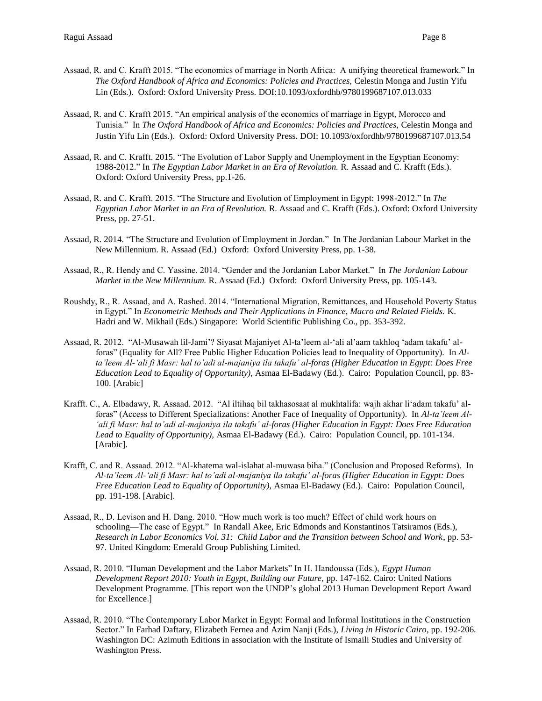- Assaad, R. and C. Krafft 2015. "The economics of marriage in North Africa: A unifying theoretical framework." In *The Oxford Handbook of Africa and Economics: Policies and Practices,* Celestin Monga and Justin Yifu Lin (Eds.). Oxford: Oxford University Press. DOI:10.1093/oxfordhb/9780199687107.013.033
- Assaad, R. and C. Krafft 2015. "An empirical analysis of the economics of marriage in Egypt, Morocco and Tunisia." In *The Oxford Handbook of Africa and Economics: Policies and Practices,* Celestin Monga and Justin Yifu Lin (Eds.). Oxford: Oxford University Press. DOI: 10.1093/oxfordhb/9780199687107.013.54
- Assaad, R. and C. Krafft. 2015. "The Evolution of Labor Supply and Unemployment in the Egyptian Economy: 1988-2012." In *The Egyptian Labor Market in an Era of Revolution.* R. Assaad and C. Krafft (Eds.). Oxford: Oxford University Press, pp.1-26.
- Assaad, R. and C. Krafft. 2015. "The Structure and Evolution of Employment in Egypt: 1998-2012." In *The Egyptian Labor Market in an Era of Revolution.* R. Assaad and C. Krafft (Eds.). Oxford: Oxford University Press, pp. 27-51.
- Assaad, R. 2014. "The Structure and Evolution of Employment in Jordan." In The Jordanian Labour Market in the New Millennium. R. Assaad (Ed.) Oxford: Oxford University Press, pp. 1-38.
- Assaad, R., R. Hendy and C. Yassine. 2014. "Gender and the Jordanian Labor Market." In *The Jordanian Labour Market in the New Millennium.* R. Assaad (Ed.) Oxford: Oxford University Press, pp. 105-143.
- Roushdy, R., R. Assaad, and A. Rashed. 2014. "International Migration, Remittances, and Household Poverty Status in Egypt." In *Econometric Methods and Their Applications in Finance, Macro and Related Fields.* K. Hadri and W. Mikhail (Eds.) Singapore: World Scientific Publishing Co., pp. 353-392.
- Assaad, R. 2012. "Al-Musawah lil-Jami'? Siyasat Majaniyet Al-ta'leem al-'ali al'aam takhloq 'adam takafu' alforas" (Equality for All? Free Public Higher Education Policies lead to Inequality of Opportunity). In *Alta'leem Al-'ali fi Masr: hal to'adi al-majaniya ila takafu' al-foras (Higher Education in Egypt: Does Free Education Lead to Equality of Opportunity),* Asmaa El-Badawy (Ed.). Cairo: Population Council, pp. 83- 100. [Arabic]
- Krafft. C., A. Elbadawy, R. Assaad. 2012. "Al iltihaq bil takhasosaat al mukhtalifa: wajh akhar li'adam takafu' alforas" (Access to Different Specializations: Another Face of Inequality of Opportunity). In *Al-ta'leem Al- 'ali fi Masr: hal to'adi al-majaniya ila takafu' al-foras (Higher Education in Egypt: Does Free Education Lead to Equality of Opportunity),* Asmaa El-Badawy (Ed.). Cairo: Population Council, pp. 101-134. [Arabic].
- Krafft, C. and R. Assaad. 2012. "Al-khatema wal-islahat al-muwasa biha." (Conclusion and Proposed Reforms). In *Al-ta'leem Al-'ali fi Masr: hal to'adi al-majaniya ila takafu' al-foras (Higher Education in Egypt: Does Free Education Lead to Equality of Opportunity),* Asmaa El-Badawy (Ed.). Cairo: Population Council, pp. 191-198. [Arabic].
- Assaad, R., D. Levison and H. Dang. 2010. "How much work is too much? Effect of child work hours on schooling—The case of Egypt." In Randall Akee, Eric Edmonds and Konstantinos Tatsiramos (Eds.), *Research in Labor Economics Vol. 31: Child Labor and the Transition between School and Work*, pp. 53- 97. United Kingdom: Emerald Group Publishing Limited.
- Assaad, R. 2010. "Human Development and the Labor Markets" In H. Handoussa (Eds.), *Egypt Human Development Report 2010: Youth in Egypt, Building our Future,* pp. 147-162. Cairo: United Nations Development Programme. [This report won the UNDP's global 2013 Human Development Report Award for Excellence.]
- Assaad, R. 2010. "The Contemporary Labor Market in Egypt: Formal and Informal Institutions in the Construction Sector." In Farhad Daftary, Elizabeth Fernea and Azim Nanji (Eds.), *Living in Historic Cairo,* pp. 192-206*.*  Washington DC: Azimuth Editions in association with the Institute of Ismaili Studies and University of Washington Press.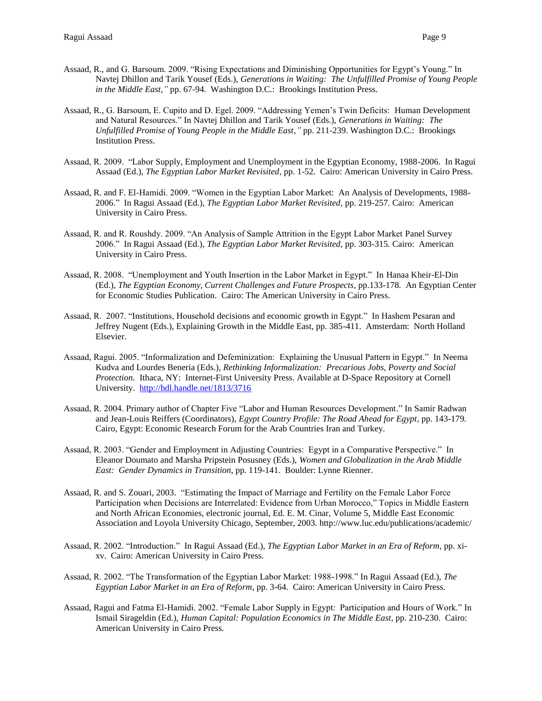- Assaad, R., and G. Barsoum. 2009. "Rising Expectations and Diminishing Opportunities for Egypt's Young." In Navtej Dhillon and Tarik Yousef (Eds.), *Generations in Waiting: The Unfulfilled Promise of Young People in the Middle East,"* pp. 67-94. Washington D.C.: Brookings Institution Press.
- Assaad, R., G. Barsoum, E. Cupito and D. Egel. 2009. "Addressing Yemen's Twin Deficits: Human Development and Natural Resources." In Navtej Dhillon and Tarik Yousef (Eds.), *Generations in Waiting: The Unfulfilled Promise of Young People in the Middle East,"* pp. 211-239. Washington D.C.: Brookings Institution Press.
- Assaad, R. 2009. "Labor Supply, Employment and Unemployment in the Egyptian Economy, 1988-2006. In Ragui Assaad (Ed.), *The Egyptian Labor Market Revisited,* pp. 1-52. Cairo: American University in Cairo Press.
- Assaad, R. and F. El-Hamidi. 2009. "Women in the Egyptian Labor Market: An Analysis of Developments, 1988- 2006." In Ragui Assaad (Ed.), *The Egyptian Labor Market Revisited,* pp. 219-257*.* Cairo: American University in Cairo Press.
- Assaad, R. and R. Roushdy. 2009. "An Analysis of Sample Attrition in the Egypt Labor Market Panel Survey 2006." In Ragui Assaad (Ed.), *The Egyptian Labor Market Revisited*, pp. 303-315*.* Cairo: American University in Cairo Press.
- Assaad, R. 2008. "Unemployment and Youth Insertion in the Labor Market in Egypt." In Hanaa Kheir-El-Din (Ed.)*, The Egyptian Economy, Current Challenges and Future Prospects,* pp.133-178*.* An Egyptian Center for Economic Studies Publication. Cairo: The American University in Cairo Press.
- Assaad, R. 2007. "Institutions, Household decisions and economic growth in Egypt." In Hashem Pesaran and Jeffrey Nugent (Eds.), Explaining Growth in the Middle East, pp. 385-411. Amsterdam: North Holland Elsevier.
- Assaad, Ragui. 2005. "Informalization and Defeminization: Explaining the Unusual Pattern in Egypt." In Neema Kudva and Lourdes Beneria (Eds.), *Rethinking Informalization: Precarious Jobs, Poverty and Social Protection.* Ithaca, NY: Internet-First University Press. Available at D-Space Repository at Cornell University. <http://hdl.handle.net/1813/3716>
- Assaad, R. 2004. Primary author of Chapter Five "Labor and Human Resources Development." In Samir Radwan and Jean-Louis Reiffers (Coordinators), *Egypt Country Profile: The Road Ahead for Egypt,* pp. 143-179*.* Cairo, Egypt: Economic Research Forum for the Arab Countries Iran and Turkey.
- Assaad, R. 2003. "Gender and Employment in Adjusting Countries: Egypt in a Comparative Perspective." In Eleanor Doumato and Marsha Pripstein Posusney (Eds.), *Women and Globalization in the Arab Middle East: Gender Dynamics in Transition*, pp. 119-141. Boulder: Lynne Rienner.
- Assaad, R. and S. Zouari, 2003. "Estimating the Impact of Marriage and Fertility on the Female Labor Force Participation when Decisions are Interrelated: Evidence from Urban Morocco," Topics in Middle Eastern and North African Economies, electronic journal, Ed. E. M. Cinar, Volume 5, Middle East Economic Association and Loyola University Chicago, September, 2003. http://www.luc.edu/publications/academic/
- Assaad, R. 2002. "Introduction." In Ragui Assaad (Ed.), *The Egyptian Labor Market in an Era of Reform*, pp. xixv. Cairo: American University in Cairo Press.
- Assaad, R. 2002. "The Transformation of the Egyptian Labor Market: 1988-1998." In Ragui Assaad (Ed.), *The Egyptian Labor Market in an Era of Reform*, pp. 3-64. Cairo: American University in Cairo Press.
- Assaad, Ragui and Fatma El-Hamidi. 2002. "Female Labor Supply in Egypt: Participation and Hours of Work." In Ismail Sirageldin (Ed.), *Human Capital: Population Economics in The Middle East*, pp. 210-230. Cairo: American University in Cairo Press.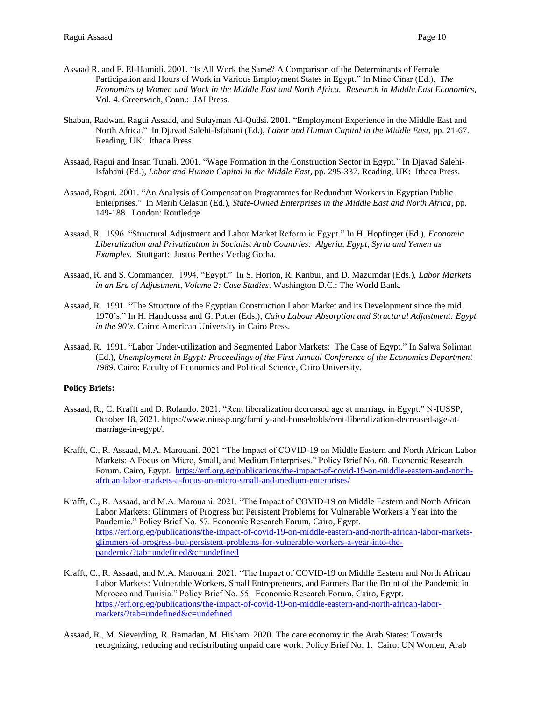- Assaad R. and F. El-Hamidi. 2001. "Is All Work the Same? A Comparison of the Determinants of Female Participation and Hours of Work in Various Employment States in Egypt." In Mine Cinar (Ed.), *The Economics of Women and Work in the Middle East and North Africa. Research in Middle East Economics,* Vol. 4. Greenwich, Conn.: JAI Press.
- Shaban, Radwan, Ragui Assaad, and Sulayman Al-Qudsi. 2001. "Employment Experience in the Middle East and North Africa." In Djavad Salehi-Isfahani (Ed.), *Labor and Human Capital in the Middle East*, pp. 21-67. Reading, UK: Ithaca Press.
- Assaad, Ragui and Insan Tunali. 2001. "Wage Formation in the Construction Sector in Egypt." In Djavad Salehi-Isfahani (Ed.), *Labor and Human Capital in the Middle East*, pp. 295-337. Reading, UK: Ithaca Press.
- Assaad, Ragui. 2001. "An Analysis of Compensation Programmes for Redundant Workers in Egyptian Public Enterprises." In Merih Celasun (Ed.), *State-Owned Enterprises in the Middle East and North Africa*, pp. 149-188*.* London: Routledge.
- Assaad, R. 1996. "Structural Adjustment and Labor Market Reform in Egypt." In H. Hopfinger (Ed.), *Economic Liberalization and Privatization in Socialist Arab Countries: Algeria, Egypt, Syria and Yemen as Examples.* Stuttgart: Justus Perthes Verlag Gotha.
- Assaad, R. and S. Commander. 1994. "Egypt." In S. Horton, R. Kanbur, and D. Mazumdar (Eds.), *Labor Markets in an Era of Adjustment, Volume 2: Case Studies*. Washington D.C.: The World Bank.
- Assaad, R. 1991. "The Structure of the Egyptian Construction Labor Market and its Development since the mid 1970's." In H. Handoussa and G. Potter (Eds.), *Cairo Labour Absorption and Structural Adjustment: Egypt in the 90's*. Cairo: American University in Cairo Press.
- Assaad, R. 1991. "Labor Under-utilization and Segmented Labor Markets: The Case of Egypt." In Salwa Soliman (Ed.), *Unemployment in Egypt: Proceedings of the First Annual Conference of the Economics Department 1989*. Cairo: Faculty of Economics and Political Science, Cairo University.

### **Policy Briefs:**

- Assaad, R., C. Krafft and D. Rolando. 2021. "Rent liberalization decreased age at marriage in Egypt." N-IUSSP, October 18, 2021. https://www.niussp.org/family-and-households/rent-liberalization-decreased-age-atmarriage-in-egypt/.
- Krafft, C., R. Assaad, M.A. Marouani. 2021 "The Impact of COVID-19 on Middle Eastern and North African Labor Markets: A Focus on Micro, Small, and Medium Enterprises." Policy Brief No. 60. Economic Research Forum. Cairo, Egypt. [https://erf.org.eg/publications/the-impact-of-covid-19-on-middle-eastern-and-north](https://erf.org.eg/publications/the-impact-of-covid-19-on-middle-eastern-and-north-african-labor-markets-a-focus-on-micro-small-and-medium-enterprises/)[african-labor-markets-a-focus-on-micro-small-and-medium-enterprises/](https://erf.org.eg/publications/the-impact-of-covid-19-on-middle-eastern-and-north-african-labor-markets-a-focus-on-micro-small-and-medium-enterprises/)
- Krafft, C., R. Assaad, and M.A. Marouani. 2021. "The Impact of COVID-19 on Middle Eastern and North African Labor Markets: Glimmers of Progress but Persistent Problems for Vulnerable Workers a Year into the Pandemic." Policy Brief No. 57. Economic Research Forum, Cairo, Egypt. [https://erf.org.eg/publications/the-impact-of-covid-19-on-middle-eastern-and-north-african-labor-markets](https://erf.org.eg/publications/the-impact-of-covid-19-on-middle-eastern-and-north-african-labor-markets-glimmers-of-progress-but-persistent-problems-for-vulnerable-workers-a-year-into-the-pandemic/?tab=undefined&c=undefined)[glimmers-of-progress-but-persistent-problems-for-vulnerable-workers-a-year-into-the](https://erf.org.eg/publications/the-impact-of-covid-19-on-middle-eastern-and-north-african-labor-markets-glimmers-of-progress-but-persistent-problems-for-vulnerable-workers-a-year-into-the-pandemic/?tab=undefined&c=undefined)[pandemic/?tab=undefined&c=undefined](https://erf.org.eg/publications/the-impact-of-covid-19-on-middle-eastern-and-north-african-labor-markets-glimmers-of-progress-but-persistent-problems-for-vulnerable-workers-a-year-into-the-pandemic/?tab=undefined&c=undefined)
- Krafft, C., R. Assaad, and M.A. Marouani. 2021. "The Impact of COVID-19 on Middle Eastern and North African Labor Markets: Vulnerable Workers, Small Entrepreneurs, and Farmers Bar the Brunt of the Pandemic in Morocco and Tunisia." Policy Brief No. 55. Economic Research Forum, Cairo, Egypt. [https://erf.org.eg/publications/the-impact-of-covid-19-on-middle-eastern-and-north-african-labor](https://erf.org.eg/publications/the-impact-of-covid-19-on-middle-eastern-and-north-african-labor-markets/?tab=undefined&c=undefined)[markets/?tab=undefined&c=undefined](https://erf.org.eg/publications/the-impact-of-covid-19-on-middle-eastern-and-north-african-labor-markets/?tab=undefined&c=undefined)
- Assaad, R., M. Sieverding, R. Ramadan, M. Hisham. 2020. The care economy in the Arab States: Towards recognizing, reducing and redistributing unpaid care work. Policy Brief No. 1. Cairo: UN Women, Arab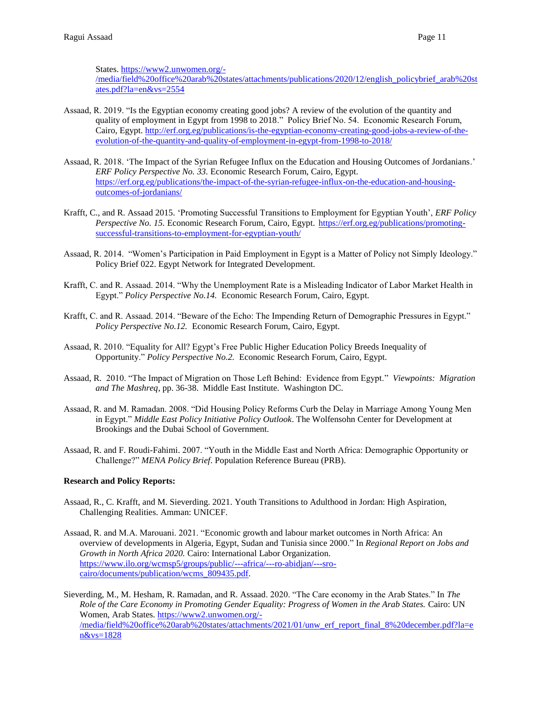States. [https://www2.unwomen.org/-](https://www2.unwomen.org/-/media/field%20office%20arab%20states/attachments/publications/2020/12/english_policybrief_arab%20states.pdf?la=en&vs=2554)

[/media/field%20office%20arab%20states/attachments/publications/2020/12/english\\_policybrief\\_arab%20st](https://www2.unwomen.org/-/media/field%20office%20arab%20states/attachments/publications/2020/12/english_policybrief_arab%20states.pdf?la=en&vs=2554) [ates.pdf?la=en&vs=2554](https://www2.unwomen.org/-/media/field%20office%20arab%20states/attachments/publications/2020/12/english_policybrief_arab%20states.pdf?la=en&vs=2554)

- Assaad, R. 2019. "Is [the Egyptian economy creating good jobs? A review of the evolution of the quantity and](http://erf.org.eg/publications/is-the-egyptian-economy-creating-good-jobs-a-review-of-the-evolution-of-the-quantity-and-quality-of-employment-in-egypt-from-1998-to-2018/)  [quality of employment in Egypt from 1998 to 2018.](http://erf.org.eg/publications/is-the-egyptian-economy-creating-good-jobs-a-review-of-the-evolution-of-the-quantity-and-quality-of-employment-in-egypt-from-1998-to-2018/)" Policy Brief No. 54. Economic Research Forum, Cairo, Egypt. [http://erf.org.eg/publications/is-the-egyptian-economy-creating-good-jobs-a-review-of-the](http://erf.org.eg/publications/is-the-egyptian-economy-creating-good-jobs-a-review-of-the-evolution-of-the-quantity-and-quality-of-employment-in-egypt-from-1998-to-2018/)[evolution-of-the-quantity-and-quality-of-employment-in-egypt-from-1998-to-2018/](http://erf.org.eg/publications/is-the-egyptian-economy-creating-good-jobs-a-review-of-the-evolution-of-the-quantity-and-quality-of-employment-in-egypt-from-1998-to-2018/)
- Assaad, R. 2018. 'The Impact of the Syrian Refugee Influx on the Education and Housing Outcomes of Jordanians.' *[ERF Policy Perspective No. 3](https://erf.org.eg/publications/promoting-successful-transitions-to-employment-for-egyptian-youth/)3.* Economic Research Forum, Cairo, Egypt. [https://erf.org.eg/publications/the-impact-of-the-syrian-refugee-influx-on-the-education-and-housing](https://erf.org.eg/publications/the-impact-of-the-syrian-refugee-influx-on-the-education-and-housing-outcomes-of-jordanians/)[outcomes-of-jordanians/](https://erf.org.eg/publications/the-impact-of-the-syrian-refugee-influx-on-the-education-and-housing-outcomes-of-jordanians/)
- Krafft, C., and R. Assaad 2015. 'Promoting Successful Transitions to Employment for Egyptian Youth', *[ERF Policy](https://erf.org.eg/publications/promoting-successful-transitions-to-employment-for-egyptian-youth/)  [Perspective No. 15.](https://erf.org.eg/publications/promoting-successful-transitions-to-employment-for-egyptian-youth/)* Economic Research Forum, Cairo, Egypt. [https://erf.org.eg/publications/promoting](https://erf.org.eg/publications/promoting-successful-transitions-to-employment-for-egyptian-youth/)[successful-transitions-to-employment-for-egyptian-youth/](https://erf.org.eg/publications/promoting-successful-transitions-to-employment-for-egyptian-youth/)
- Assaad, R. 2014. "Women's Participation in Paid Employment in Egypt is a Matter of Policy not Simply Ideology." Policy Brief 022. Egypt Network for Integrated Development.
- Krafft, C. and R. Assaad. 2014. "Why the Unemployment Rate is a Misleading Indicator of Labor Market Health in Egypt." *Policy Perspective No.14.* Economic Research Forum, Cairo, Egypt.
- Krafft, C. and R. Assaad. 2014. "Beware of the Echo: The Impending Return of Demographic Pressures in Egypt." *Policy Perspective No.12.* Economic Research Forum, Cairo, Egypt.
- Assaad, R. 2010. "Equality for All? Egypt's Free Public Higher Education Policy Breeds Inequality of Opportunity." *Policy Perspective No.2.* Economic Research Forum, Cairo, Egypt.
- Assaad, R. 2010. "The Impact of Migration on Those Left Behind: Evidence from Egypt." *Viewpoints: Migration and The Mashreq*, pp. 36-38. Middle East Institute. Washington DC.
- Assaad, R. and M. Ramadan. 2008. "Did Housing Policy Reforms Curb the Delay in Marriage Among Young Men in Egypt." *Middle East Policy Initiative Policy Outlook*. The Wolfensohn Center for Development at Brookings and the Dubai School of Government.
- Assaad, R. and F. Roudi-Fahimi. 2007. "Youth in the Middle East and North Africa: Demographic Opportunity or Challenge?" *MENA Policy Brief*. Population Reference Bureau (PRB).

# **Research and Policy Reports:**

- Assaad, R., C. Krafft, and M. Sieverding. 2021. Youth Transitions to Adulthood in Jordan: High Aspiration, Challenging Realities. Amman: UNICEF.
- Assaad, R. and M.A. Marouani. 2021. "Economic growth and labour market outcomes in North Africa: An overview of developments in Algeria, Egypt, Sudan and Tunisia since 2000." In *Regional Report on Jobs and Growth in North Africa 2020.* Cairo: International Labor Organization. [https://www.ilo.org/wcmsp5/groups/public/---africa/---ro-abidjan/---sro](https://www.ilo.org/wcmsp5/groups/public/---africa/---ro-abidjan/---sro-cairo/documents/publication/wcms_809435.pdf)[cairo/documents/publication/wcms\\_809435.pdf.](https://www.ilo.org/wcmsp5/groups/public/---africa/---ro-abidjan/---sro-cairo/documents/publication/wcms_809435.pdf)

Sieverding, M., M. Hesham, R. Ramadan, and R. Assaad. 2020. "The Care economy in the Arab States." In *The Role of the Care Economy in Promoting Gender Equality: Progress of Women in the Arab States.* Cairo: UN Women, Arab States. [https://www2.unwomen.org/-](https://www2.unwomen.org/-/media/field%20office%20arab%20states/attachments/2021/01/unw_erf_report_final_8%20december.pdf?la=en&vs=1828) [/media/field%20office%20arab%20states/attachments/2021/01/unw\\_erf\\_report\\_final\\_8%20december.pdf?la=e](https://www2.unwomen.org/-/media/field%20office%20arab%20states/attachments/2021/01/unw_erf_report_final_8%20december.pdf?la=en&vs=1828) [n&vs=1828](https://www2.unwomen.org/-/media/field%20office%20arab%20states/attachments/2021/01/unw_erf_report_final_8%20december.pdf?la=en&vs=1828)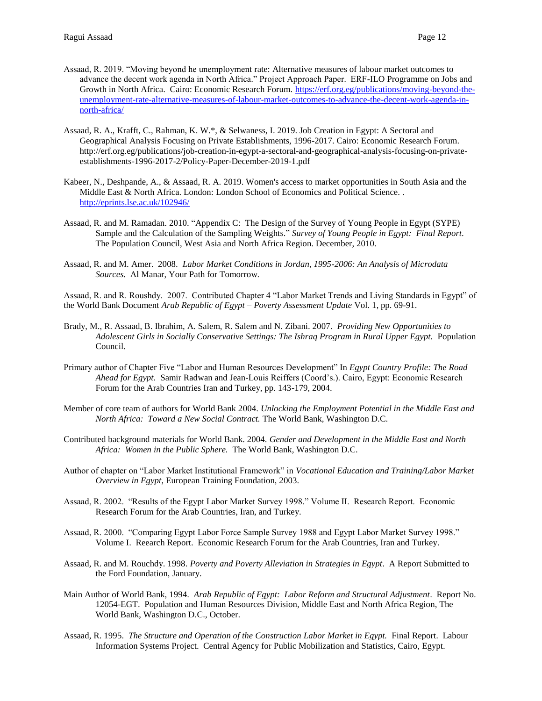- Assaad, R. 2019. "Moving beyond he unemployment rate: Alternative measures of labour market outcomes to advance the decent work agenda in North Africa." Project Approach Paper. ERF-ILO Programme on Jobs and Growth in North Africa. Cairo: Economic Research Forum. [https://erf.org.eg/publications/moving-beyond-the](https://erf.org.eg/publications/moving-beyond-the-unemployment-rate-alternative-measures-of-labour-market-outcomes-to-advance-the-decent-work-agenda-in-north-africa/)[unemployment-rate-alternative-measures-of-labour-market-outcomes-to-advance-the-decent-work-agenda-in](https://erf.org.eg/publications/moving-beyond-the-unemployment-rate-alternative-measures-of-labour-market-outcomes-to-advance-the-decent-work-agenda-in-north-africa/)[north-africa/](https://erf.org.eg/publications/moving-beyond-the-unemployment-rate-alternative-measures-of-labour-market-outcomes-to-advance-the-decent-work-agenda-in-north-africa/)
- Assaad, R. A., Krafft, C., Rahman, K. W.\*, & Selwaness, I. 2019. Job Creation in Egypt: A Sectoral and Geographical Analysis Focusing on Private Establishments, 1996-2017. Cairo: Economic Research Forum. [http://erf.org.eg/publications/job-creation-in-egypt-a-sectoral-and-geographical-analysis-focusing-on-private](http://erf.org.eg/publications/job-creation-in-egypt-a-sectoral-and-geographical-analysis-focusing-on-private-establishments-1996-2017-2/)[establishments-1996-2017-2/](http://erf.org.eg/publications/job-creation-in-egypt-a-sectoral-and-geographical-analysis-focusing-on-private-establishments-1996-2017-2/)[Policy-Paper-December-2019-1.pdf](https://www.digitalmeasures.com/login/umn/faculty/survey/ui/showFile?file=YXNzYWFkL2ludGVsbGNvbnQvUG9saWN5LVBhcGVyLURlY2VtYmVyLTIwMTktMS5wZGY%3D&surId=15018559&nodeId=937449&sdId=97048083&sdSurId=15018559&rptId=20175&sgntr=oXIdM9HnDFjUvGGpF0t%2FFlA4qNg%3D)
- Kabeer, N., Deshpande, A., & Assaad, R. A. 2019. Women's access to market opportunities in South Asia and the Middle East & North Africa. London: London School of Economics and Political Science. . <http://eprints.lse.ac.uk/102946/>
- Assaad, R. and M. Ramadan. 2010. "Appendix C: The Design of the Survey of Young People in Egypt (SYPE) Sample and the Calculation of the Sampling Weights." *Survey of Young People in Egypt: Final Report*. The Population Council, West Asia and North Africa Region. December, 2010.
- Assaad, R. and M. Amer. 2008. *Labor Market Conditions in Jordan, 1995-2006: An Analysis of Microdata Sources.* Al Manar, Your Path for Tomorrow.

Assaad, R. and R. Roushdy. 2007. Contributed Chapter 4 "Labor Market Trends and Living Standards in Egypt" of the World Bank Document *Arab Republic of Egypt – Poverty Assessment Update* Vol. 1, pp. 69-91.

- Brady, M., R. Assaad, B. Ibrahim, A. Salem, R. Salem and N. Zibani. 2007. *Providing New Opportunities to*  Adolescent Girls in Socially Conservative Settings: The Ishraq Program in Rural Upper Egypt. Population Council.
- Primary author of Chapter Five "Labor and Human Resources Development" In *Egypt Country Profile: The Road Ahead for Egypt.* Samir Radwan and Jean-Louis Reiffers (Coord's.). Cairo, Egypt: Economic Research Forum for the Arab Countries Iran and Turkey, pp. 143-179, 2004.
- Member of core team of authors for World Bank 2004. *Unlocking the Employment Potential in the Middle East and North Africa: Toward a New Social Contract.* The World Bank, Washington D.C.
- Contributed background materials for World Bank. 2004. *Gender and Development in the Middle East and North Africa: Women in the Public Sphere.* The World Bank, Washington D.C.
- Author of chapter on "Labor Market Institutional Framework" in *Vocational Education and Training/Labor Market Overview in Egypt*, European Training Foundation, 2003.
- Assaad, R. 2002. "Results of the Egypt Labor Market Survey 1998." Volume II. Research Report. Economic Research Forum for the Arab Countries, Iran, and Turkey.
- Assaad, R. 2000. "Comparing Egypt Labor Force Sample Survey 1988 and Egypt Labor Market Survey 1998." Volume I. Reearch Report. Economic Research Forum for the Arab Countries, Iran and Turkey.
- Assaad, R. and M. Rouchdy. 1998. *Poverty and Poverty Alleviation in Strategies in Egypt*. A Report Submitted to the Ford Foundation, January.
- Main Author of World Bank, 1994. *Arab Republic of Egypt: Labor Reform and Structural Adjustment*. Report No. 12054-EGT. Population and Human Resources Division, Middle East and North Africa Region, The World Bank, Washington D.C., October.
- Assaad, R. 1995. *The Structure and Operation of the Construction Labor Market in Egypt.* Final Report. Labour Information Systems Project. Central Agency for Public Mobilization and Statistics, Cairo, Egypt.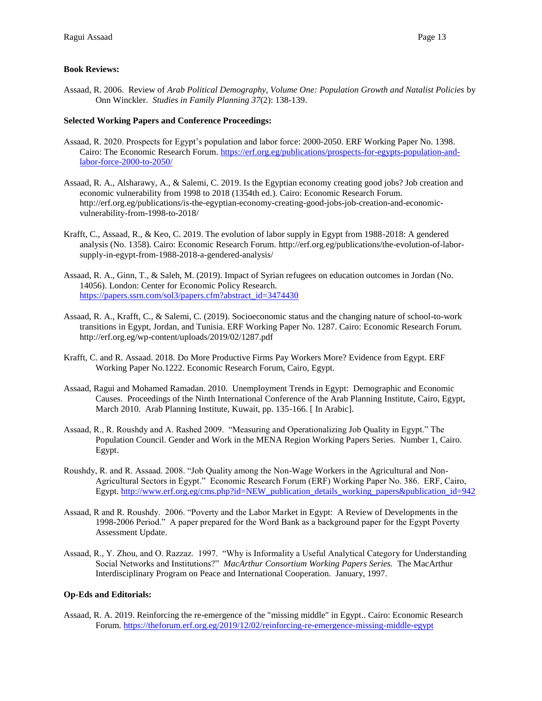## **Book Reviews:**

Assaad, R. 2006. Review of *Arab Political Demography, Volume One: Population Growth and Natalist Policies* by Onn Winckler. *Studies in Family Planning 37*(2): 138-139.

## **Selected Working Papers and Conference Proceedings:**

- Assaad, R. 2020. Prospects for Egypt's population and labor force: 2000-2050. ERF Working Paper No. 1398. Cairo: The Economic Research Forum. [https://erf.org.eg/publications/prospects-for-egypts-population-and](https://erf.org.eg/publications/prospects-for-egypts-population-and-labor-force-2000-to-2050/)[labor-force-2000-to-2050/](https://erf.org.eg/publications/prospects-for-egypts-population-and-labor-force-2000-to-2050/)
- Assaad, R. A., Alsharawy, A., & Salemi, C. 2019. Is the Egyptian economy creating good jobs? Job creation and economic vulnerability from 1998 to 2018 (1354th ed.). Cairo: Economic Research Forum. [http://erf.org.eg/publications/is-the-egyptian-economy-creating-good-jobs-job-creation-and-economic](http://erf.org.eg/publications/is-the-egyptian-economy-creating-good-jobs-job-creation-and-economic-vulnerability-from-1998-to-2018/)[vulnerability-from-1998-to-2018/](http://erf.org.eg/publications/is-the-egyptian-economy-creating-good-jobs-job-creation-and-economic-vulnerability-from-1998-to-2018/)
- Krafft, C., Assaad, R., & Keo, C. 2019. The evolution of labor supply in Egypt from 1988-2018: A gendered analysis (No. 1358). Cairo: Economic Research Forum. [http://erf.org.eg/publications/the-evolution-of-labor](http://erf.org.eg/publications/the-evolution-of-labor-supply-in-egypt-from-1988-2018-a-gendered-analysis/)[supply-in-egypt-from-1988-2018-a-gendered-analysis/](http://erf.org.eg/publications/the-evolution-of-labor-supply-in-egypt-from-1988-2018-a-gendered-analysis/)
- Assaad, R. A., Ginn, T., & Saleh, M. (2019). Impact of Syrian refugees on education outcomes in Jordan (No. 14056). London: Center for Economic Policy Research. [https://papers.ssrn.com/sol3/papers.cfm?abstract\\_id=3474430](https://papers.ssrn.com/sol3/papers.cfm?abstract_id=3474430)
- Assaad, R. A., Krafft, C., & Salemi, C. (2019). Socioeconomic status and the changing nature of school-to-work transitions in Egypt, Jordan, and Tunisia. ERF Working Paper No. 1287. Cairo: Economic Research Forum. <http://erf.org.eg/wp-content/uploads/2019/02/1287.pdf>
- Krafft, C. and R. Assaad. 2018. [Do More Productive Firms Pay Workers More? Evidence from Egypt.](https://erf.org.eg/publications/do-more-productive-firms-pay-workers-more-evidence-from-egypt/) ERF Working Paper No.1222. Economic Research Forum, Cairo, Egypt.
- Assaad, Ragui and Mohamed Ramadan. 2010. Unemployment Trends in Egypt: Demographic and Economic Causes. Proceedings of the Ninth International Conference of the Arab Planning Institute, Cairo, Egypt, March 2010. Arab Planning Institute, Kuwait, pp. 135-166. [ In Arabic].
- Assaad, R., R. Roushdy and A. Rashed 2009. "Measuring and Operationalizing Job Quality in Egypt." The Population Council. Gender and Work in the MENA Region Working Papers Series. Number 1, Cairo. Egypt.
- Roushdy, R. and R. Assaad. 2008. "Job Quality among the Non-Wage Workers in the Agricultural and Non-Agricultural Sectors in Egypt." Economic Research Forum (ERF) Working Paper No. 386. ERF, Cairo, Egypt. [http://www.erf.org.eg/cms.php?id=NEW\\_publication\\_details\\_working\\_papers&publication\\_id=942](http://www.erf.org.eg/cms.php?id=NEW_publication_details_working_papers&publication_id=942)
- Assaad, R and R. Roushdy. 2006. "Poverty and the Labor Market in Egypt: A Review of Developments in the 1998-2006 Period." A paper prepared for the Word Bank as a background paper for the Egypt Poverty Assessment Update.
- Assaad, R., Y. Zhou, and O. Razzaz. 1997. "Why is Informality a Useful Analytical Category for Understanding Social Networks and Institutions?" *MacArthur Consortium Working Papers Series.* The MacArthur Interdisciplinary Program on Peace and International Cooperation. January, 1997.

# **Op-Eds and Editorials:**

Assaad, R. A. 2019. Reinforcing the re-emergence of the "missing middle" in Egypt.. Cairo: Economic Research Forum.<https://theforum.erf.org.eg/2019/12/02/reinforcing-re-emergence-missing-middle-egypt>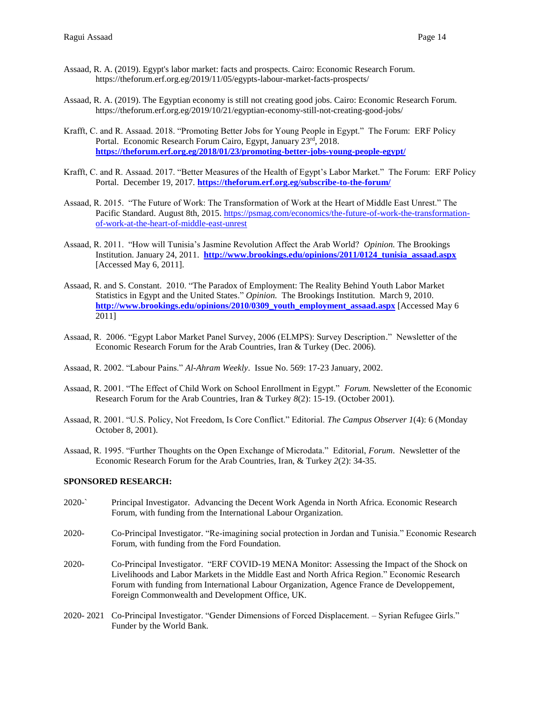- Assaad, R. A. (2019). Egypt's labor market: facts and prospects. Cairo: Economic Research Forum. <https://theforum.erf.org.eg/2019/11/05/egypts-labour-market-facts-prospects/>
- Assaad, R. A. (2019). The Egyptian economy is still not creating good jobs. Cairo: Economic Research Forum. <https://theforum.erf.org.eg/2019/10/21/egyptian-economy-still-not-creating-good-jobs/>
- Krafft, C. and R. Assaad. 2018. "Promoting Better Jobs for Young People in Egypt." The Forum: ERF Policy Portal. Economic Research Forum Cairo, Egypt, January 23rd, 2018. **<https://theforum.erf.org.eg/2018/01/23/promoting-better-jobs-young-people-egypt/>**
- Krafft, C. and R. Assaad. 2017. "Better Measures of the Health of Egypt's Labor Market." The Forum: ERF Policy Portal. December 19, 2017. **<https://theforum.erf.org.eg/subscribe-to-the-forum/>**
- Assaad, R. 2015. "The Future of Work: The Transformation of Work at the Heart of Middle East Unrest." The Pacific Standard. August 8th, 2015. [https://psmag.com/economics/the-future-of-work-the-transformation](https://psmag.com/economics/the-future-of-work-the-transformation-of-work-at-the-heart-of-middle-east-unrest)[of-work-at-the-heart-of-middle-east-unrest](https://psmag.com/economics/the-future-of-work-the-transformation-of-work-at-the-heart-of-middle-east-unrest)
- Assaad, R. 2011. "How will Tunisia's Jasmine Revolution Affect the Arab World? *Opinion.* The Brookings Institution. January 24, 2011. **[http://www.brookings.edu/opinions/2011/0124\\_tunisia\\_assaad.aspx](http://www.brookings.edu/opinions/2011/0124_tunisia_assaad.aspx)** [Accessed May 6, 2011].
- Assaad, R. and S. Constant. 2010. "The Paradox of Employment: The Reality Behind Youth Labor Market Statistics in Egypt and the United States." *Opinion.* The Brookings Institution. March 9, 2010. **[http://www.brookings.edu/opinions/2010/0309\\_youth\\_employment\\_assaad.aspx](http://www.brookings.edu/opinions/2010/0309_youth_employment_assaad.aspx)** [Accessed May 6 2011]
- Assaad, R. 2006. "Egypt Labor Market Panel Survey, 2006 (ELMPS): Survey Description." Newsletter of the Economic Research Forum for the Arab Countries, Iran & Turkey (Dec. 2006).
- Assaad, R. 2002. "Labour Pains." *Al-Ahram Weekly*. Issue No. 569: 17-23 January, 2002.
- Assaad, R. 2001. "The Effect of Child Work on School Enrollment in Egypt." *Forum.* Newsletter of the Economic Research Forum for the Arab Countries, Iran & Turkey *8*(2): 15-19. (October 2001).
- Assaad, R. 2001. "U.S. Policy, Not Freedom, Is Core Conflict." Editorial. *The Campus Observer 1*(4): 6 (Monday October 8, 2001).
- Assaad, R. 1995. "Further Thoughts on the Open Exchange of Microdata." Editorial, *Forum*. Newsletter of the Economic Research Forum for the Arab Countries, Iran, & Turkey *2*(2): 34-35.

## **SPONSORED RESEARCH:**

- 2020-` Principal Investigator. Advancing the Decent Work Agenda in North Africa. Economic Research Forum, with funding from the International Labour Organization.
- 2020- Co-Principal Investigator. "Re-imagining social protection in Jordan and Tunisia." Economic Research Forum, with funding from the Ford Foundation.
- 2020- Co-Principal Investigator. "ERF COVID-19 MENA Monitor: Assessing the Impact of the Shock on Livelihoods and Labor Markets in the Middle East and North Africa Region." Economic Research Forum with funding from International Labour Organization, Agence France de Developpement, Foreign Commonwealth and Development Office, UK.
- 2020- 2021 Co-Principal Investigator. "Gender Dimensions of Forced Displacement. Syrian Refugee Girls." Funder by the World Bank.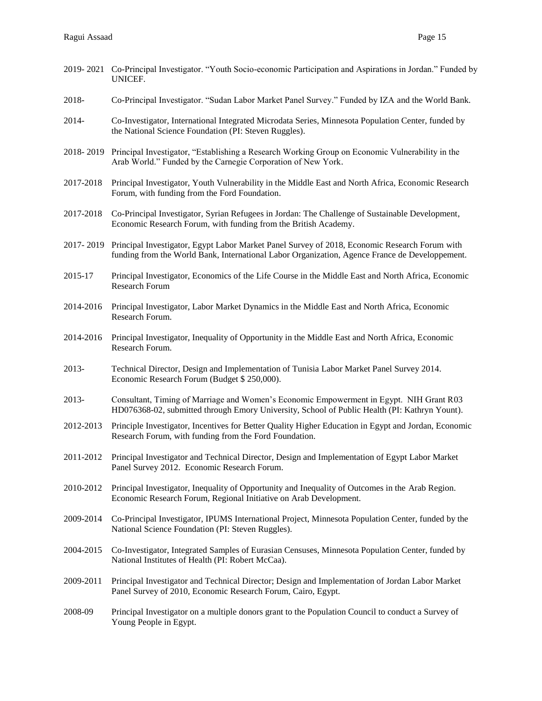|           | 2019-2021 Co-Principal Investigator. "Youth Socio-economic Participation and Aspirations in Jordan." Funded by<br>UNICEF.                                                                       |
|-----------|-------------------------------------------------------------------------------------------------------------------------------------------------------------------------------------------------|
| 2018-     | Co-Principal Investigator. "Sudan Labor Market Panel Survey." Funded by IZA and the World Bank.                                                                                                 |
| 2014-     | Co-Investigator, International Integrated Microdata Series, Minnesota Population Center, funded by<br>the National Science Foundation (PI: Steven Ruggles).                                     |
|           | 2018-2019 Principal Investigator, "Establishing a Research Working Group on Economic Vulnerability in the<br>Arab World." Funded by the Carnegie Corporation of New York.                       |
| 2017-2018 | Principal Investigator, Youth Vulnerability in the Middle East and North Africa, Economic Research<br>Forum, with funding from the Ford Foundation.                                             |
| 2017-2018 | Co-Principal Investigator, Syrian Refugees in Jordan: The Challenge of Sustainable Development,<br>Economic Research Forum, with funding from the British Academy.                              |
| 2017-2019 | Principal Investigator, Egypt Labor Market Panel Survey of 2018, Economic Research Forum with<br>funding from the World Bank, International Labor Organization, Agence France de Developpement. |
| 2015-17   | Principal Investigator, Economics of the Life Course in the Middle East and North Africa, Economic<br><b>Research Forum</b>                                                                     |
| 2014-2016 | Principal Investigator, Labor Market Dynamics in the Middle East and North Africa, Economic<br>Research Forum.                                                                                  |
| 2014-2016 | Principal Investigator, Inequality of Opportunity in the Middle East and North Africa, Economic<br>Research Forum.                                                                              |
| 2013-     | Technical Director, Design and Implementation of Tunisia Labor Market Panel Survey 2014.<br>Economic Research Forum (Budget \$ 250,000).                                                        |
| 2013-     | Consultant, Timing of Marriage and Women's Economic Empowerment in Egypt. NIH Grant R03<br>HD076368-02, submitted through Emory University, School of Public Health (PI: Kathryn Yount).        |
| 2012-2013 | Principle Investigator, Incentives for Better Quality Higher Education in Egypt and Jordan, Economic<br>Research Forum, with funding from the Ford Foundation.                                  |
| 2011-2012 | Principal Investigator and Technical Director, Design and Implementation of Egypt Labor Market<br>Panel Survey 2012. Economic Research Forum.                                                   |
| 2010-2012 | Principal Investigator, Inequality of Opportunity and Inequality of Outcomes in the Arab Region.<br>Economic Research Forum, Regional Initiative on Arab Development.                           |
| 2009-2014 | Co-Principal Investigator, IPUMS International Project, Minnesota Population Center, funded by the<br>National Science Foundation (PI: Steven Ruggles).                                         |
| 2004-2015 | Co-Investigator, Integrated Samples of Eurasian Censuses, Minnesota Population Center, funded by<br>National Institutes of Health (PI: Robert McCaa).                                           |
| 2009-2011 | Principal Investigator and Technical Director; Design and Implementation of Jordan Labor Market<br>Panel Survey of 2010, Economic Research Forum, Cairo, Egypt.                                 |
| 2008-09   | Principal Investigator on a multiple donors grant to the Population Council to conduct a Survey of<br>Young People in Egypt.                                                                    |
|           |                                                                                                                                                                                                 |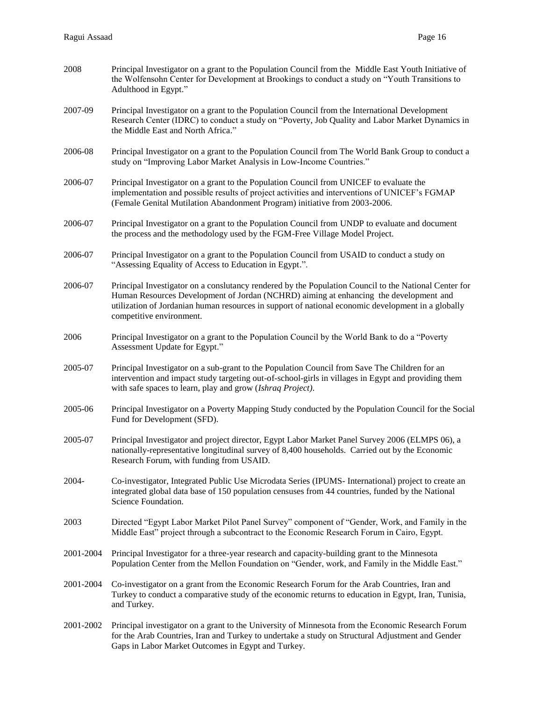| 2008      | Principal Investigator on a grant to the Population Council from the Middle East Youth Initiative of<br>the Wolfensohn Center for Development at Brookings to conduct a study on "Youth Transitions to<br>Adulthood in Egypt."                                                                                                   |
|-----------|----------------------------------------------------------------------------------------------------------------------------------------------------------------------------------------------------------------------------------------------------------------------------------------------------------------------------------|
| 2007-09   | Principal Investigator on a grant to the Population Council from the International Development<br>Research Center (IDRC) to conduct a study on "Poverty, Job Quality and Labor Market Dynamics in<br>the Middle East and North Africa."                                                                                          |
| 2006-08   | Principal Investigator on a grant to the Population Council from The World Bank Group to conduct a<br>study on "Improving Labor Market Analysis in Low-Income Countries."                                                                                                                                                        |
| 2006-07   | Principal Investigator on a grant to the Population Council from UNICEF to evaluate the<br>implementation and possible results of project activities and interventions of UNICEF's FGMAP<br>(Female Genital Mutilation Abandonment Program) initiative from 2003-2006.                                                           |
| 2006-07   | Principal Investigator on a grant to the Population Council from UNDP to evaluate and document<br>the process and the methodology used by the FGM-Free Village Model Project.                                                                                                                                                    |
| 2006-07   | Principal Investigator on a grant to the Population Council from USAID to conduct a study on<br>"Assessing Equality of Access to Education in Egypt.".                                                                                                                                                                           |
| 2006-07   | Principal Investigator on a conslutancy rendered by the Population Council to the National Center for<br>Human Resources Development of Jordan (NCHRD) aiming at enhancing the development and<br>utilization of Jordanian human resources in support of national economic development in a globally<br>competitive environment. |
| 2006      | Principal Investigator on a grant to the Population Council by the World Bank to do a "Poverty<br>Assessment Update for Egypt."                                                                                                                                                                                                  |
| 2005-07   | Principal Investigator on a sub-grant to the Population Council from Save The Children for an<br>intervention and impact study targeting out-of-school-girls in villages in Egypt and providing them<br>with safe spaces to learn, play and grow (Ishraq Project).                                                               |
| 2005-06   | Principal Investigator on a Poverty Mapping Study conducted by the Population Council for the Social<br>Fund for Development (SFD).                                                                                                                                                                                              |
| 2005-07   | Principal Investigator and project director, Egypt Labor Market Panel Survey 2006 (ELMPS 06), a<br>nationally-representative longitudinal survey of 8,400 households. Carried out by the Economic<br>Research Forum, with funding from USAID.                                                                                    |
| 2004-     | Co-investigator, Integrated Public Use Microdata Series (IPUMS- International) project to create an<br>integrated global data base of 150 population censuses from 44 countries, funded by the National<br>Science Foundation.                                                                                                   |
| 2003      | Directed "Egypt Labor Market Pilot Panel Survey" component of "Gender, Work, and Family in the<br>Middle East" project through a subcontract to the Economic Research Forum in Cairo, Egypt.                                                                                                                                     |
| 2001-2004 | Principal Investigator for a three-year research and capacity-building grant to the Minnesota<br>Population Center from the Mellon Foundation on "Gender, work, and Family in the Middle East."                                                                                                                                  |
| 2001-2004 | Co-investigator on a grant from the Economic Research Forum for the Arab Countries, Iran and<br>Turkey to conduct a comparative study of the economic returns to education in Egypt, Iran, Tunisia,<br>and Turkey.                                                                                                               |
| 2001-2002 | Principal investigator on a grant to the University of Minnesota from the Economic Research Forum<br>for the Arab Countries, Iran and Turkey to undertake a study on Structural Adjustment and Gender<br>Gaps in Labor Market Outcomes in Egypt and Turkey.                                                                      |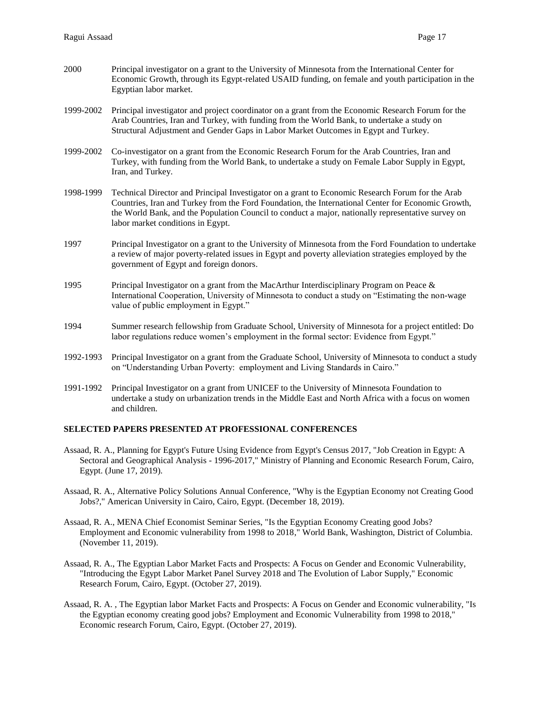- 2000 Principal investigator on a grant to the University of Minnesota from the International Center for Economic Growth, through its Egypt-related USAID funding, on female and youth participation in the Egyptian labor market.
- 1999-2002 Principal investigator and project coordinator on a grant from the Economic Research Forum for the Arab Countries, Iran and Turkey, with funding from the World Bank, to undertake a study on Structural Adjustment and Gender Gaps in Labor Market Outcomes in Egypt and Turkey.
- 1999-2002 Co-investigator on a grant from the Economic Research Forum for the Arab Countries, Iran and Turkey, with funding from the World Bank, to undertake a study on Female Labor Supply in Egypt, Iran, and Turkey.
- 1998-1999 Technical Director and Principal Investigator on a grant to Economic Research Forum for the Arab Countries, Iran and Turkey from the Ford Foundation, the International Center for Economic Growth, the World Bank, and the Population Council to conduct a major, nationally representative survey on labor market conditions in Egypt.
- 1997 Principal Investigator on a grant to the University of Minnesota from the Ford Foundation to undertake a review of major poverty-related issues in Egypt and poverty alleviation strategies employed by the government of Egypt and foreign donors.
- 1995 Principal Investigator on a grant from the MacArthur Interdisciplinary Program on Peace & International Cooperation, University of Minnesota to conduct a study on "Estimating the non-wage value of public employment in Egypt."
- 1994 Summer research fellowship from Graduate School, University of Minnesota for a project entitled: Do labor regulations reduce women's employment in the formal sector: Evidence from Egypt."
- 1992-1993 Principal Investigator on a grant from the Graduate School, University of Minnesota to conduct a study on "Understanding Urban Poverty: employment and Living Standards in Cairo."
- 1991-1992 Principal Investigator on a grant from UNICEF to the University of Minnesota Foundation to undertake a study on urbanization trends in the Middle East and North Africa with a focus on women and children.

## **SELECTED PAPERS PRESENTED AT PROFESSIONAL CONFERENCES**

- Assaad, R. A., Planning for Egypt's Future Using Evidence from Egypt's Census 2017, "Job Creation in Egypt: A Sectoral and Geographical Analysis - 1996-2017," Ministry of Planning and Economic Research Forum, Cairo, Egypt. (June 17, 2019).
- Assaad, R. A., Alternative Policy Solutions Annual Conference, "Why is the Egyptian Economy not Creating Good Jobs?," American University in Cairo, Cairo, Egypt. (December 18, 2019).
- Assaad, R. A., MENA Chief Economist Seminar Series, "Is the Egyptian Economy Creating good Jobs? Employment and Economic vulnerability from 1998 to 2018," World Bank, Washington, District of Columbia. (November 11, 2019).
- Assaad, R. A., The Egyptian Labor Market Facts and Prospects: A Focus on Gender and Economic Vulnerability, "Introducing the Egypt Labor Market Panel Survey 2018 and The Evolution of Labor Supply," Economic Research Forum, Cairo, Egypt. (October 27, 2019).
- Assaad, R. A. , The Egyptian labor Market Facts and Prospects: A Focus on Gender and Economic vulnerability, "Is the Egyptian economy creating good jobs? Employment and Economic Vulnerability from 1998 to 2018," Economic research Forum, Cairo, Egypt. (October 27, 2019).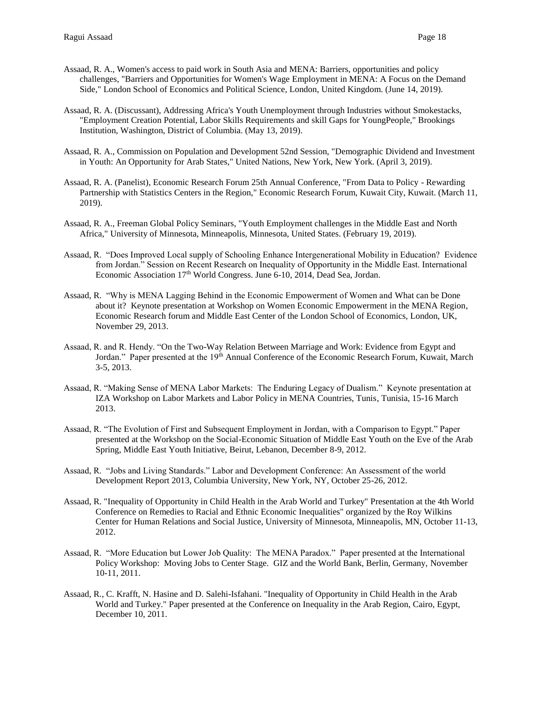- Assaad, R. A., Women's access to paid work in South Asia and MENA: Barriers, opportunities and policy challenges, "Barriers and Opportunities for Women's Wage Employment in MENA: A Focus on the Demand Side," London School of Economics and Political Science, London, United Kingdom. (June 14, 2019).
- Assaad, R. A. (Discussant), Addressing Africa's Youth Unemployment through Industries without Smokestacks, "Employment Creation Potential, Labor Skills Requirements and skill Gaps for YoungPeople," Brookings Institution, Washington, District of Columbia. (May 13, 2019).
- Assaad, R. A., Commission on Population and Development 52nd Session, "Demographic Dividend and Investment in Youth: An Opportunity for Arab States," United Nations, New York, New York. (April 3, 2019).
- Assaad, R. A. (Panelist), Economic Research Forum 25th Annual Conference, "From Data to Policy Rewarding Partnership with Statistics Centers in the Region," Economic Research Forum, Kuwait City, Kuwait. (March 11, 2019).
- Assaad, R. A., Freeman Global Policy Seminars, "Youth Employment challenges in the Middle East and North Africa," University of Minnesota, Minneapolis, Minnesota, United States. (February 19, 2019).
- Assaad, R. "Does Improved Local supply of Schooling Enhance Intergenerational Mobility in Education? Evidence from Jordan." Session on Recent Research on Inequality of Opportunity in the Middle East. International Economic Association 17<sup>th</sup> World Congress. June 6-10, 2014, Dead Sea, Jordan.
- Assaad, R. "Why is MENA Lagging Behind in the Economic Empowerment of Women and What can be Done about it? Keynote presentation at Workshop on Women Economic Empowerment in the MENA Region, Economic Research forum and Middle East Center of the London School of Economics, London, UK, November 29, 2013.
- Assaad, R. and R. Hendy. "On the Two-Way Relation Between Marriage and Work: Evidence from Egypt and Jordan." Paper presented at the 19<sup>th</sup> Annual Conference of the Economic Research Forum, Kuwait, March 3-5, 2013.
- Assaad, R. "Making Sense of MENA Labor Markets: The Enduring Legacy of Dualism." Keynote presentation at IZA Workshop on Labor Markets and Labor Policy in MENA Countries, Tunis, Tunisia, 15-16 March 2013.
- Assaad, R. "The Evolution of First and Subsequent Employment in Jordan, with a Comparison to Egypt." Paper presented at the Workshop on the Social-Economic Situation of Middle East Youth on the Eve of the Arab Spring, Middle East Youth Initiative, Beirut, Lebanon, December 8-9, 2012.
- Assaad, R. "Jobs and Living Standards." Labor and Development Conference: An Assessment of the world Development Report 2013, Columbia University, New York, NY, October 25-26, 2012.
- Assaad, R. "Inequality of Opportunity in Child Health in the Arab World and Turkey" Presentation at the 4th World Conference on Remedies to Racial and Ethnic Economic Inequalities" organized by the Roy Wilkins Center for Human Relations and Social Justice, University of Minnesota, Minneapolis, MN, October 11-13, 2012.
- Assaad, R. "More Education but Lower Job Quality: The MENA Paradox." Paper presented at the International Policy Workshop: Moving Jobs to Center Stage. GIZ and the World Bank, Berlin, Germany, November 10-11, 2011.
- Assaad, R., C. Krafft, N. Hasine and D. Salehi-Isfahani. "Inequality of Opportunity in Child Health in the Arab World and Turkey." Paper presented at the Conference on Inequality in the Arab Region, Cairo, Egypt, December 10, 2011.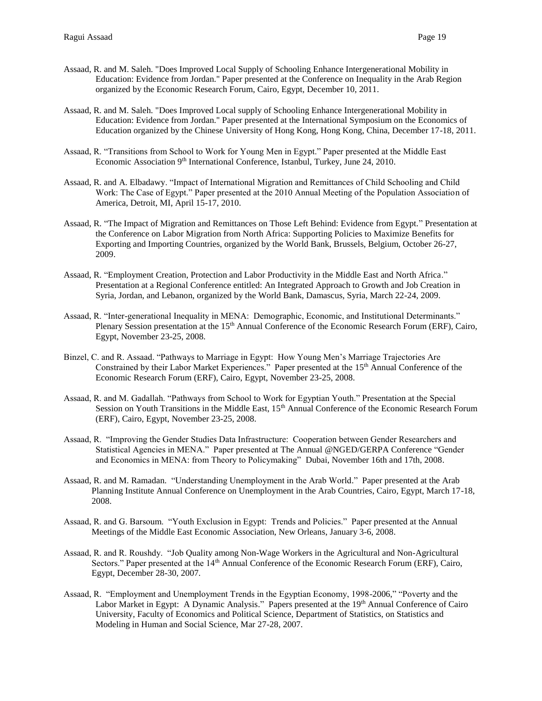- Assaad, R. and M. Saleh. "Does Improved Local Supply of Schooling Enhance Intergenerational Mobility in Education: Evidence from Jordan." Paper presented at the Conference on Inequality in the Arab Region organized by the Economic Research Forum, Cairo, Egypt, December 10, 2011.
- Assaad, R. and M. Saleh. "Does Improved Local supply of Schooling Enhance Intergenerational Mobility in Education: Evidence from Jordan." Paper presented at the International Symposium on the Economics of Education organized by the Chinese University of Hong Kong, Hong Kong, China, December 17-18, 2011.
- Assaad, R. "Transitions from School to Work for Young Men in Egypt." Paper presented at the Middle East Economic Association 9<sup>th</sup> International Conference, Istanbul, Turkey, June 24, 2010.
- Assaad, R. and A. Elbadawy. "Impact of International Migration and Remittances of Child Schooling and Child Work: The Case of Egypt." Paper presented at the 2010 Annual Meeting of the Population Association of America, Detroit, MI, April 15-17, 2010.
- Assaad, R. "The Impact of Migration and Remittances on Those Left Behind: Evidence from Egypt." Presentation at the Conference on Labor Migration from North Africa: Supporting Policies to Maximize Benefits for Exporting and Importing Countries, organized by the World Bank, Brussels, Belgium, October 26-27, 2009.
- Assaad, R. "Employment Creation, Protection and Labor Productivity in the Middle East and North Africa." Presentation at a Regional Conference entitled: An Integrated Approach to Growth and Job Creation in Syria, Jordan, and Lebanon, organized by the World Bank, Damascus, Syria, March 22-24, 2009.
- Assaad, R. "Inter-generational Inequality in MENA: Demographic, Economic, and Institutional Determinants." Plenary Session presentation at the 15<sup>th</sup> Annual Conference of the Economic Research Forum (ERF), Cairo, Egypt, November 23-25, 2008.
- Binzel, C. and R. Assaad. "Pathways to Marriage in Egypt: How Young Men's Marriage Trajectories Are Constrained by their Labor Market Experiences." Paper presented at the 15<sup>th</sup> Annual Conference of the Economic Research Forum (ERF), Cairo, Egypt, November 23-25, 2008.
- Assaad, R. and M. Gadallah. "Pathways from School to Work for Egyptian Youth." Presentation at the Special Session on Youth Transitions in the Middle East, 15<sup>th</sup> Annual Conference of the Economic Research Forum (ERF), Cairo, Egypt, November 23-25, 2008.
- Assaad, R. "Improving the Gender Studies Data Infrastructure: Cooperation between Gender Researchers and Statistical Agencies in MENA." Paper presented at The Annual @NGED/GERPA Conference "Gender and Economics in MENA: from Theory to Policymaking" Dubai, November 16th and 17th, 2008.
- Assaad, R. and M. Ramadan. "Understanding Unemployment in the Arab World." Paper presented at the Arab Planning Institute Annual Conference on Unemployment in the Arab Countries, Cairo, Egypt, March 17-18, 2008.
- Assaad, R. and G. Barsoum. "Youth Exclusion in Egypt: Trends and Policies." Paper presented at the Annual Meetings of the Middle East Economic Association, New Orleans, January 3-6, 2008.
- Assaad, R. and R. Roushdy. "Job Quality among Non-Wage Workers in the Agricultural and Non-Agricultural Sectors." Paper presented at the 14<sup>th</sup> Annual Conference of the Economic Research Forum (ERF), Cairo, Egypt, December 28-30, 2007.
- Assaad, R. "Employment and Unemployment Trends in the Egyptian Economy, 1998-2006," "Poverty and the Labor Market in Egypt: A Dynamic Analysis." Papers presented at the 19<sup>th</sup> Annual Conference of Cairo University, Faculty of Economics and Political Science, Department of Statistics, on Statistics and Modeling in Human and Social Science, Mar 27-28, 2007.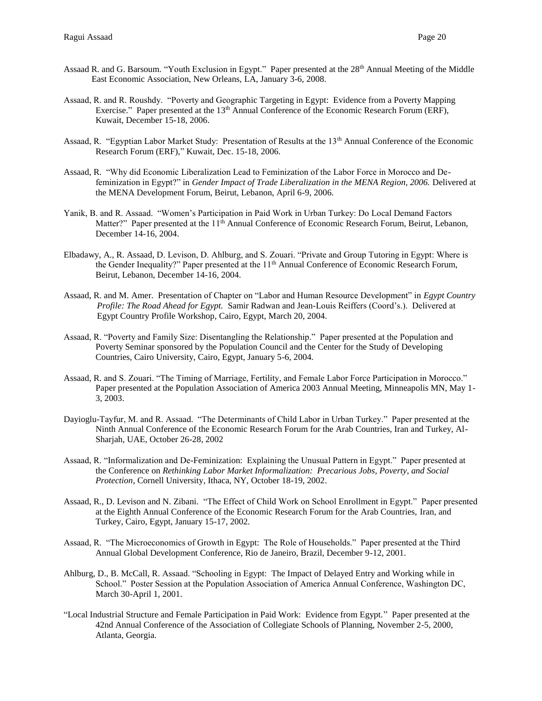- Assaad R. and G. Barsoum. "Youth Exclusion in Egypt." Paper presented at the 28<sup>th</sup> Annual Meeting of the Middle East Economic Association, New Orleans, LA, January 3-6, 2008.
- Assaad, R. and R. Roushdy. "Poverty and Geographic Targeting in Egypt: Evidence from a Poverty Mapping Exercise." Paper presented at the 13<sup>th</sup> Annual Conference of the Economic Research Forum (ERF), Kuwait, December 15-18, 2006.
- Assaad, R. "Egyptian Labor Market Study: Presentation of Results at the 13<sup>th</sup> Annual Conference of the Economic Research Forum (ERF)," Kuwait, Dec. 15-18, 2006.
- Assaad, R. "Why did Economic Liberalization Lead to Feminization of the Labor Force in Morocco and Defeminization in Egypt?" in *Gender Impact of Trade Liberalization in the MENA Region, 2006.* Delivered at the MENA Development Forum, Beirut, Lebanon, April 6-9, 2006.
- Yanik, B. and R. Assaad. "Women's Participation in Paid Work in Urban Turkey: Do Local Demand Factors Matter?" Paper presented at the 11<sup>th</sup> Annual Conference of Economic Research Forum, Beirut, Lebanon, December 14-16, 2004.
- Elbadawy, A., R. Assaad, D. Levison, D. Ahlburg, and S. Zouari. "Private and Group Tutoring in Egypt: Where is the Gender Inequality?" Paper presented at the  $11<sup>th</sup>$  Annual Conference of Economic Research Forum, Beirut, Lebanon, December 14-16, 2004.
- Assaad, R. and M. Amer. Presentation of Chapter on "Labor and Human Resource Development" in *Egypt Country Profile: The Road Ahead for Egypt.* Samir Radwan and Jean-Louis Reiffers (Coord's.). Delivered at Egypt Country Profile Workshop, Cairo, Egypt, March 20, 2004.
- Assaad, R. "Poverty and Family Size: Disentangling the Relationship." Paper presented at the Population and Poverty Seminar sponsored by the Population Council and the Center for the Study of Developing Countries, Cairo University, Cairo, Egypt, January 5-6, 2004.
- Assaad, R. and S. Zouari. "The Timing of Marriage, Fertility, and Female Labor Force Participation in Morocco." Paper presented at the Population Association of America 2003 Annual Meeting, Minneapolis MN, May 1- 3, 2003.
- Dayioglu-Tayfur, M. and R. Assaad. "The Determinants of Child Labor in Urban Turkey." Paper presented at the Ninth Annual Conference of the Economic Research Forum for the Arab Countries, Iran and Turkey, Al-Sharjah, UAE, October 26-28, 2002
- Assaad, R. "Informalization and De-Feminization: Explaining the Unusual Pattern in Egypt." Paper presented at the Conference on *Rethinking Labor Market Informalization: Precarious Jobs, Poverty, and Social Protection*, Cornell University, Ithaca, NY, October 18-19, 2002.
- Assaad, R., D. Levison and N. Zibani. "The Effect of Child Work on School Enrollment in Egypt." Paper presented at the Eighth Annual Conference of the Economic Research Forum for the Arab Countries, Iran, and Turkey, Cairo, Egypt, January 15-17, 2002.
- Assaad, R. "The Microeconomics of Growth in Egypt: The Role of Households." Paper presented at the Third Annual Global Development Conference, Rio de Janeiro, Brazil, December 9-12, 2001.
- Ahlburg, D., B. McCall, R. Assaad. "Schooling in Egypt: The Impact of Delayed Entry and Working while in School." Poster Session at the Population Association of America Annual Conference, Washington DC, March 30-April 1, 2001.
- "Local Industrial Structure and Female Participation in Paid Work: Evidence from Egypt." Paper presented at the 42nd Annual Conference of the Association of Collegiate Schools of Planning, November 2-5, 2000, Atlanta, Georgia.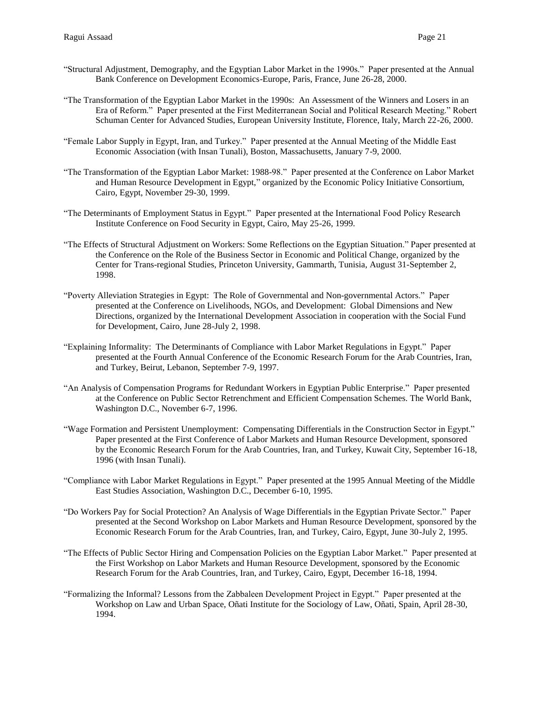- "Structural Adjustment, Demography, and the Egyptian Labor Market in the 1990s." Paper presented at the Annual Bank Conference on Development Economics-Europe, Paris, France, June 26-28, 2000.
- "The Transformation of the Egyptian Labor Market in the 1990s: An Assessment of the Winners and Losers in an Era of Reform." Paper presented at the First Mediterranean Social and Political Research Meeting." Robert Schuman Center for Advanced Studies, European University Institute, Florence, Italy, March 22-26, 2000.
- "Female Labor Supply in Egypt, Iran, and Turkey." Paper presented at the Annual Meeting of the Middle East Economic Association (with Insan Tunali), Boston, Massachusetts, January 7-9, 2000.
- "The Transformation of the Egyptian Labor Market: 1988-98." Paper presented at the Conference on Labor Market and Human Resource Development in Egypt," organized by the Economic Policy Initiative Consortium, Cairo, Egypt, November 29-30, 1999.
- "The Determinants of Employment Status in Egypt." Paper presented at the International Food Policy Research Institute Conference on Food Security in Egypt, Cairo, May 25-26, 1999.
- "The Effects of Structural Adjustment on Workers: Some Reflections on the Egyptian Situation." Paper presented at the Conference on the Role of the Business Sector in Economic and Political Change, organized by the Center for Trans-regional Studies, Princeton University, Gammarth, Tunisia, August 31-September 2, 1998.
- "Poverty Alleviation Strategies in Egypt: The Role of Governmental and Non-governmental Actors." Paper presented at the Conference on Livelihoods, NGOs, and Development: Global Dimensions and New Directions, organized by the International Development Association in cooperation with the Social Fund for Development, Cairo, June 28-July 2, 1998.
- "Explaining Informality: The Determinants of Compliance with Labor Market Regulations in Egypt." Paper presented at the Fourth Annual Conference of the Economic Research Forum for the Arab Countries, Iran, and Turkey, Beirut, Lebanon, September 7-9, 1997.
- "An Analysis of Compensation Programs for Redundant Workers in Egyptian Public Enterprise." Paper presented at the Conference on Public Sector Retrenchment and Efficient Compensation Schemes. The World Bank, Washington D.C., November 6-7, 1996.
- "Wage Formation and Persistent Unemployment: Compensating Differentials in the Construction Sector in Egypt." Paper presented at the First Conference of Labor Markets and Human Resource Development, sponsored by the Economic Research Forum for the Arab Countries, Iran, and Turkey, Kuwait City, September 16-18, 1996 (with Insan Tunali).
- "Compliance with Labor Market Regulations in Egypt." Paper presented at the 1995 Annual Meeting of the Middle East Studies Association, Washington D.C., December 6-10, 1995.
- "Do Workers Pay for Social Protection? An Analysis of Wage Differentials in the Egyptian Private Sector." Paper presented at the Second Workshop on Labor Markets and Human Resource Development, sponsored by the Economic Research Forum for the Arab Countries, Iran, and Turkey, Cairo, Egypt, June 30-July 2, 1995.
- "The Effects of Public Sector Hiring and Compensation Policies on the Egyptian Labor Market." Paper presented at the First Workshop on Labor Markets and Human Resource Development, sponsored by the Economic Research Forum for the Arab Countries, Iran, and Turkey, Cairo, Egypt, December 16-18, 1994.
- "Formalizing the Informal? Lessons from the Zabbaleen Development Project in Egypt." Paper presented at the Workshop on Law and Urban Space, Oñati Institute for the Sociology of Law, Oñati, Spain, April 28-30, 1994.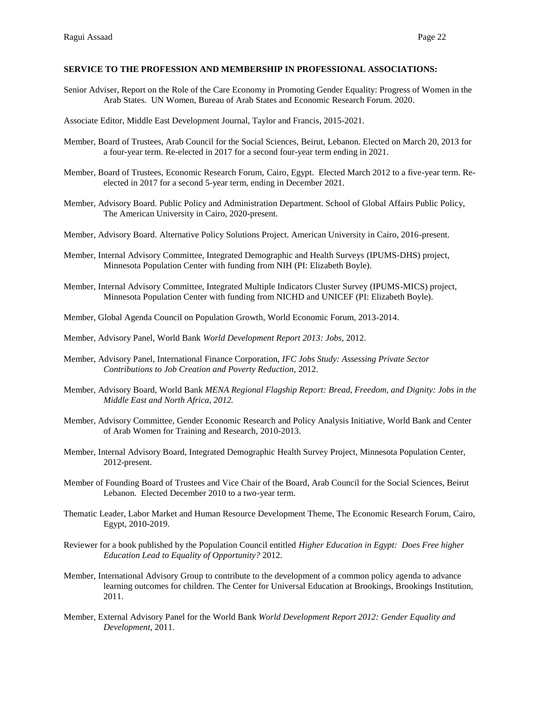### **SERVICE TO THE PROFESSION AND MEMBERSHIP IN PROFESSIONAL ASSOCIATIONS:**

Senior Adviser, Report on the Role of the Care Economy in Promoting Gender Equality: Progress of Women in the Arab States. UN Women, Bureau of Arab States and Economic Research Forum. 2020.

Associate Editor, Middle East Development Journal, Taylor and Francis, 2015-2021.

- Member, Board of Trustees, Arab Council for the Social Sciences, Beirut, Lebanon. Elected on March 20, 2013 for a four-year term. Re-elected in 2017 for a second four-year term ending in 2021.
- Member, Board of Trustees, Economic Research Forum, Cairo, Egypt. Elected March 2012 to a five-year term. Reelected in 2017 for a second 5-year term, ending in December 2021.
- Member, Advisory Board. Public Policy and Administration Department. School of Global Affairs Public Policy, The American University in Cairo, 2020-present.
- Member, Advisory Board. Alternative Policy Solutions Project. American University in Cairo, 2016-present.
- Member, Internal Advisory Committee, Integrated Demographic and Health Surveys (IPUMS-DHS) project, Minnesota Population Center with funding from NIH (PI: Elizabeth Boyle).
- Member, Internal Advisory Committee, Integrated Multiple Indicators Cluster Survey (IPUMS-MICS) project, Minnesota Population Center with funding from NICHD and UNICEF (PI: Elizabeth Boyle).
- Member, Global Agenda Council on Population Growth, World Economic Forum, 2013-2014.
- Member, Advisory Panel, World Bank *World Development Report 2013: Jobs*, 2012.
- Member, Advisory Panel, International Finance Corporation, *IFC Jobs Study: Assessing Private Sector Contributions to Job Creation and Poverty Reduction*, 2012.
- Member, Advisory Board, World Bank *MENA Regional Flagship Report: Bread, Freedom, and Dignity: Jobs in the Middle East and North Africa, 2012.*
- Member, Advisory Committee, Gender Economic Research and Policy Analysis Initiative, World Bank and Center of Arab Women for Training and Research, 2010-2013.
- Member, Internal Advisory Board, Integrated Demographic Health Survey Project, Minnesota Population Center, 2012-present.
- Member of Founding Board of Trustees and Vice Chair of the Board, Arab Council for the Social Sciences, Beirut Lebanon. Elected December 2010 to a two-year term.
- Thematic Leader, Labor Market and Human Resource Development Theme, The Economic Research Forum, Cairo, Egypt, 2010-2019.
- Reviewer for a book published by the Population Council entitled *Higher Education in Egypt: Does Free higher Education Lead to Equality of Opportunity?* 2012.
- Member, International Advisory Group to contribute to the development of a common policy agenda to advance learning outcomes for children. The Center for Universal Education at Brookings, Brookings Institution, 2011.
- Member, External Advisory Panel for the World Bank *World Development Report 2012: Gender Equality and Development*, 2011.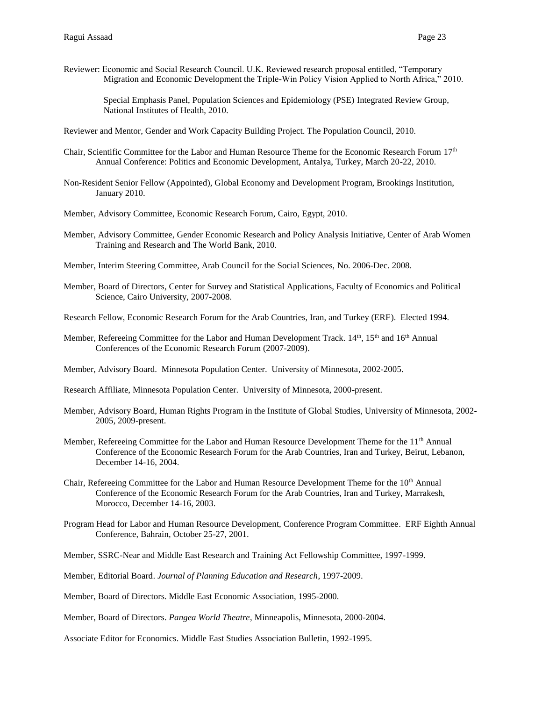Reviewer: Economic and Social Research Council. U.K. Reviewed research proposal entitled, "Temporary Migration and Economic Development the Triple-Win Policy Vision Applied to North Africa," 2010.

Special Emphasis Panel, Population Sciences and Epidemiology (PSE) Integrated Review Group, National Institutes of Health, 2010.

Reviewer and Mentor, Gender and Work Capacity Building Project. The Population Council, 2010.

- Chair, Scientific Committee for the Labor and Human Resource Theme for the Economic Research Forum 17th Annual Conference: Politics and Economic Development, Antalya, Turkey, March 20-22, 2010.
- Non-Resident Senior Fellow (Appointed), Global Economy and Development Program, Brookings Institution, January 2010.
- Member, Advisory Committee, Economic Research Forum, Cairo, Egypt, 2010.
- Member, Advisory Committee, Gender Economic Research and Policy Analysis Initiative, Center of Arab Women Training and Research and The World Bank, 2010.
- Member, Interim Steering Committee, Arab Council for the Social Sciences, No. 2006-Dec. 2008.
- Member, Board of Directors, Center for Survey and Statistical Applications, Faculty of Economics and Political Science, Cairo University, 2007-2008.
- Research Fellow, Economic Research Forum for the Arab Countries, Iran, and Turkey (ERF). Elected 1994.
- Member, Refereeing Committee for the Labor and Human Development Track. 14<sup>th</sup>, 15<sup>th</sup> and 16<sup>th</sup> Annual Conferences of the Economic Research Forum (2007-2009).
- Member, Advisory Board. Minnesota Population Center. University of Minnesota, 2002-2005.
- Research Affiliate, Minnesota Population Center. University of Minnesota, 2000-present.
- Member, Advisory Board, Human Rights Program in the Institute of Global Studies, University of Minnesota, 2002- 2005, 2009-present.
- Member, Refereeing Committee for the Labor and Human Resource Development Theme for the 11<sup>th</sup> Annual Conference of the Economic Research Forum for the Arab Countries, Iran and Turkey, Beirut, Lebanon, December 14-16, 2004.
- Chair, Refereeing Committee for the Labor and Human Resource Development Theme for the 10<sup>th</sup> Annual Conference of the Economic Research Forum for the Arab Countries, Iran and Turkey, Marrakesh, Morocco, December 14-16, 2003.
- Program Head for Labor and Human Resource Development, Conference Program Committee. ERF Eighth Annual Conference, Bahrain, October 25-27, 2001.
- Member, SSRC-Near and Middle East Research and Training Act Fellowship Committee, 1997-1999.
- Member, Editorial Board. *Journal of Planning Education and Research*, 1997-2009.
- Member, Board of Directors. Middle East Economic Association, 1995-2000.
- Member, Board of Directors. *Pangea World Theatre*, Minneapolis, Minnesota, 2000-2004.
- Associate Editor for Economics. Middle East Studies Association Bulletin, 1992-1995.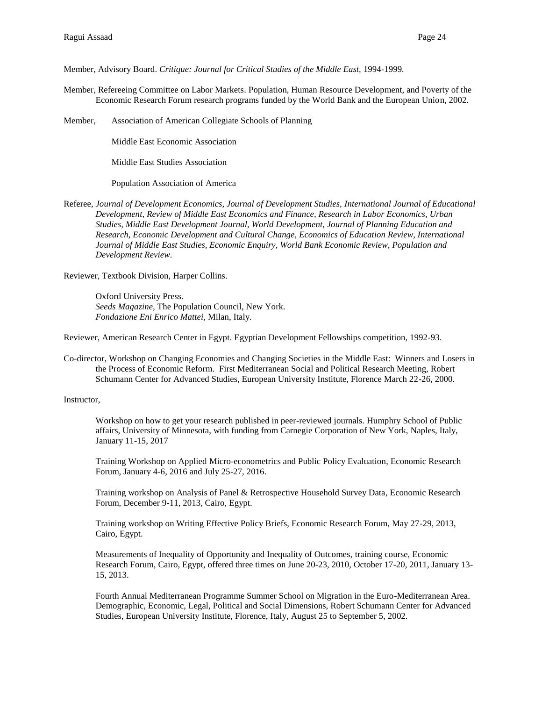Member, Advisory Board. *Critique: Journal for Critical Studies of the Middle East,* 1994-1999*.*

Member, Refereeing Committee on Labor Markets. Population, Human Resource Development, and Poverty of the Economic Research Forum research programs funded by the World Bank and the European Union, 2002.

Member, Association of American Collegiate Schools of Planning

Middle East Economic Association

Middle East Studies Association

Population Association of America

Referee, *Journal of Development Economics, Journal of Development Studies, International Journal of Educational Development, Review of Middle East Economics and Finance, Research in Labor Economics, Urban Studies, Middle East Development Journal, World Development, Journal of Planning Education and Research, Economic Development and Cultural Change, Economics of Education Review, International Journal of Middle East Studies, Economic Enquiry, World Bank Economic Review, Population and Development Review*.

Reviewer, Textbook Division, Harper Collins.

Oxford University Press. *Seeds Magazine,* The Population Council, New York. *Fondazione Eni Enrico Mattei,* Milan, Italy.

Reviewer, American Research Center in Egypt. Egyptian Development Fellowships competition, 1992-93.

Co-director, Workshop on Changing Economies and Changing Societies in the Middle East: Winners and Losers in the Process of Economic Reform. First Mediterranean Social and Political Research Meeting, Robert Schumann Center for Advanced Studies, European University Institute, Florence March 22-26, 2000.

Instructor,

Workshop on how to get your research published in peer-reviewed journals. Humphry School of Public affairs, University of Minnesota, with funding from Carnegie Corporation of New York, Naples, Italy, January 11-15, 2017

Training Workshop on Applied Micro-econometrics and Public Policy Evaluation, Economic Research Forum, January 4-6, 2016 and July 25-27, 2016.

Training workshop on Analysis of Panel & Retrospective Household Survey Data, Economic Research Forum, December 9-11, 2013, Cairo, Egypt.

Training workshop on Writing Effective Policy Briefs, Economic Research Forum, May 27-29, 2013, Cairo, Egypt.

Measurements of Inequality of Opportunity and Inequality of Outcomes, training course, Economic Research Forum, Cairo, Egypt, offered three times on June 20-23, 2010, October 17-20, 2011, January 13- 15, 2013.

Fourth Annual Mediterranean Programme Summer School on Migration in the Euro-Mediterranean Area. Demographic, Economic, Legal, Political and Social Dimensions, Robert Schumann Center for Advanced Studies, European University Institute, Florence, Italy, August 25 to September 5, 2002.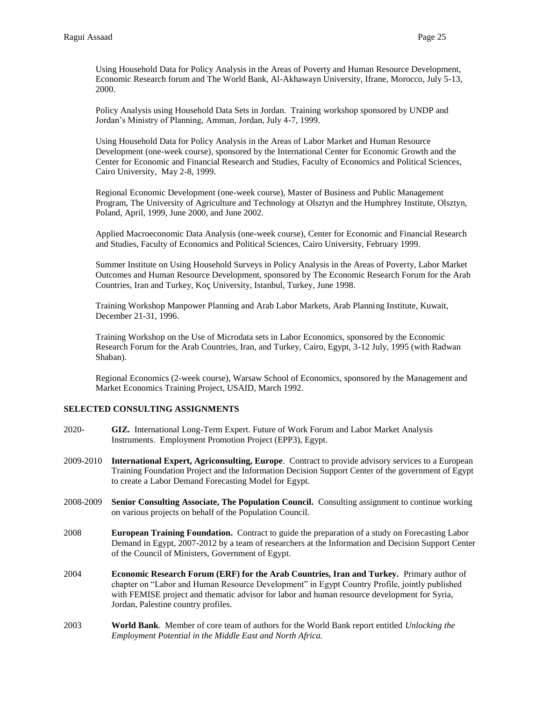Using Household Data for Policy Analysis in the Areas of Poverty and Human Resource Development, Economic Research forum and The World Bank, Al-Akhawayn University, Ifrane, Morocco, July 5-13, 2000.

Policy Analysis using Household Data Sets in Jordan. Training workshop sponsored by UNDP and Jordan's Ministry of Planning, Amman, Jordan, July 4-7, 1999.

Using Household Data for Policy Analysis in the Areas of Labor Market and Human Resource Development (one-week course), sponsored by the International Center for Economic Growth and the Center for Economic and Financial Research and Studies, Faculty of Economics and Political Sciences, Cairo University, May 2-8, 1999.

Regional Economic Development (one-week course), Master of Business and Public Management Program, The University of Agriculture and Technology at Olsztyn and the Humphrey Institute, Olsztyn, Poland, April, 1999, June 2000, and June 2002.

Applied Macroeconomic Data Analysis (one-week course), Center for Economic and Financial Research and Studies, Faculty of Economics and Political Sciences, Cairo University, February 1999.

Summer Institute on Using Household Surveys in Policy Analysis in the Areas of Poverty, Labor Market Outcomes and Human Resource Development, sponsored by The Economic Research Forum for the Arab Countries, Iran and Turkey, Koç University, Istanbul, Turkey, June 1998.

Training Workshop Manpower Planning and Arab Labor Markets, Arab Planning Institute, Kuwait, December 21-31, 1996.

Training Workshop on the Use of Microdata sets in Labor Economics, sponsored by the Economic Research Forum for the Arab Countries, Iran, and Turkey, Cairo, Egypt, 3-12 July, 1995 (with Radwan Shaban).

Regional Economics (2-week course), Warsaw School of Economics, sponsored by the Management and Market Economics Training Project, USAID, March 1992.

# **SELECTED CONSULTING ASSIGNMENTS**

- 2020- **GIZ.** International Long-Term Expert. Future of Work Forum and Labor Market Analysis Instruments. Employment Promotion Project (EPP3), Egypt.
- 2009-2010 **International Expert, Agriconsulting, Europe**. Contract to provide advisory services to a European Training Foundation Project and the Information Decision Support Center of the government of Egypt to create a Labor Demand Forecasting Model for Egypt.
- 2008-2009 **Senior Consulting Associate, The Population Council.** Consulting assignment to continue working on various projects on behalf of the Population Council.
- 2008 **European Training Foundation.** Contract to guide the preparation of a study on Forecasting Labor Demand in Egypt, 2007-2012 by a team of researchers at the Information and Decision Support Center of the Council of Ministers, Government of Egypt.
- 2004 **Economic Research Forum (ERF) for the Arab Countries, Iran and Turkey.** Primary author of chapter on "Labor and Human Resource Development" in Egypt Country Profile, jointly published with FEMISE project and thematic advisor for labor and human resource development for Syria, Jordan, Palestine country profiles.
- 2003 **World Bank**. Member of core team of authors for the World Bank report entitled *Unlocking the Employment Potential in the Middle East and North Africa.*